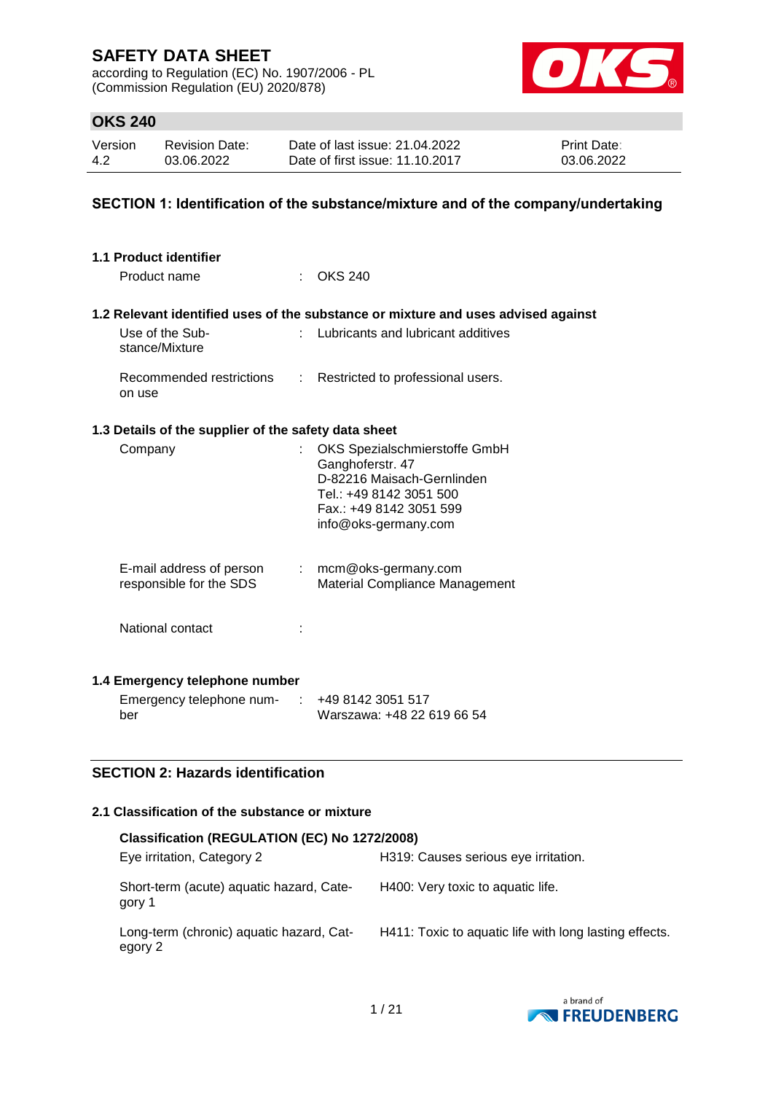according to Regulation (EC) No. 1907/2006 - PL (Commission Regulation (EU) 2020/878)



## **OKS 240**

| Version | <b>Revision Date:</b> | Date of last issue: 21.04.2022  | <b>Print Date:</b> |
|---------|-----------------------|---------------------------------|--------------------|
| 4.2     | 03.06.2022            | Date of first issue: 11.10.2017 | 03.06.2022         |

### **SECTION 1: Identification of the substance/mixture and of the company/undertaking**

| 1.1 Product identifier                               |    |                                                                                                                                                               |
|------------------------------------------------------|----|---------------------------------------------------------------------------------------------------------------------------------------------------------------|
| Product name                                         |    | <b>OKS 240</b>                                                                                                                                                |
|                                                      |    | 1.2 Relevant identified uses of the substance or mixture and uses advised against                                                                             |
| Use of the Sub-<br>stance/Mixture                    |    | Lubricants and lubricant additives                                                                                                                            |
| Recommended restrictions<br>on use                   | t. | Restricted to professional users.                                                                                                                             |
| 1.3 Details of the supplier of the safety data sheet |    |                                                                                                                                                               |
| Company                                              |    | OKS Spezialschmierstoffe GmbH<br>Ganghoferstr. 47<br>D-82216 Maisach-Gernlinden<br>Tel.: +49 8142 3051 500<br>Fax.: +49 8142 3051 599<br>info@oks-germany.com |
| E-mail address of person<br>responsible for the SDS  |    | $:$ mcm@oks-germany.com<br>Material Compliance Management                                                                                                     |
| National contact                                     |    |                                                                                                                                                               |
| 1.4 Emergency telephone number                       |    |                                                                                                                                                               |
| Emergency telephone num-<br>ber                      | ÷  | +49 8142 3051 517<br>Warszawa: +48 22 619 66 54                                                                                                               |

### **SECTION 2: Hazards identification**

### **2.1 Classification of the substance or mixture**

| Classification (REGULATION (EC) No 1272/2008)       |                                                        |  |  |  |  |  |
|-----------------------------------------------------|--------------------------------------------------------|--|--|--|--|--|
| Eye irritation, Category 2                          | H319: Causes serious eye irritation.                   |  |  |  |  |  |
| Short-term (acute) aquatic hazard, Cate-<br>gory 1  | H400: Very toxic to aquatic life.                      |  |  |  |  |  |
| Long-term (chronic) aquatic hazard, Cat-<br>egory 2 | H411: Toxic to aquatic life with long lasting effects. |  |  |  |  |  |

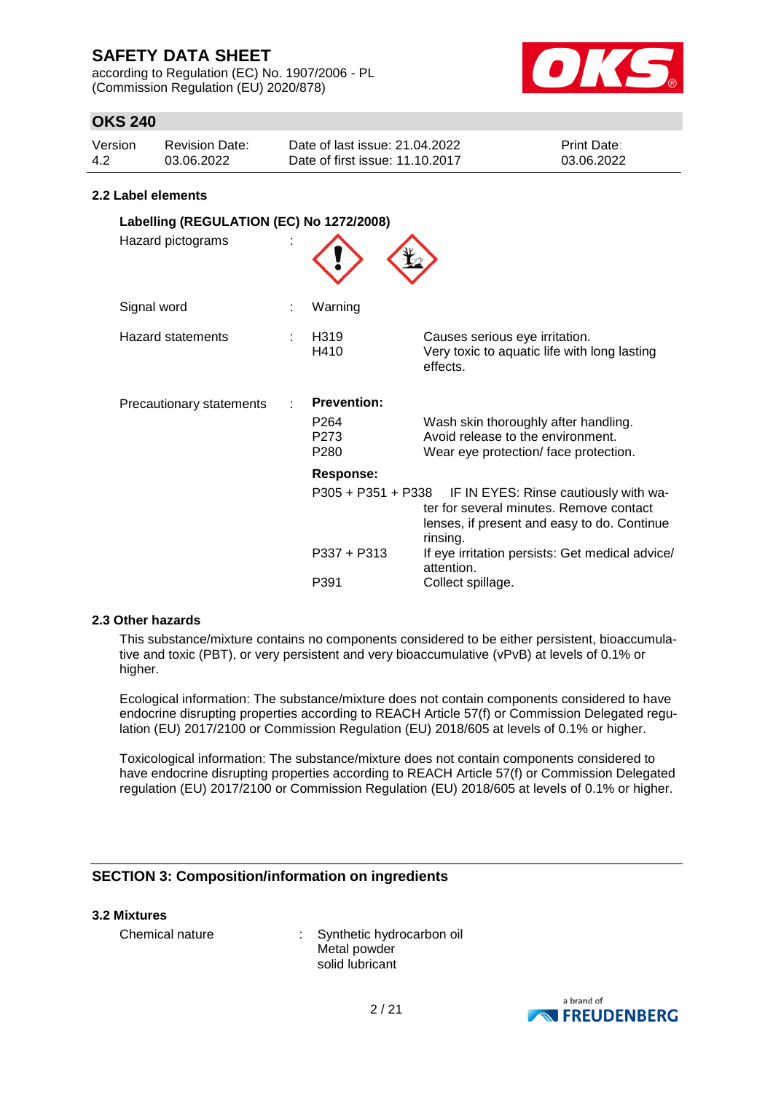according to Regulation (EC) No. 1907/2006 - PL (Commission Regulation (EU) 2020/878)



## **OKS 240**

| Version | Revision Date: | Date of last issue: 21.04.2022  | <b>Print Date:</b> |
|---------|----------------|---------------------------------|--------------------|
| 4.2     | 03.06.2022     | Date of first issue: 11.10.2017 | 03.06.2022         |

#### **2.2 Label elements**

| Labelling (REGULATION (EC) No 1272/2008)<br>Hazard pictograms |                                                                    |                                                                                                                                                                                                                                                      |
|---------------------------------------------------------------|--------------------------------------------------------------------|------------------------------------------------------------------------------------------------------------------------------------------------------------------------------------------------------------------------------------------------------|
| Signal word                                                   | Warning                                                            |                                                                                                                                                                                                                                                      |
| <b>Hazard statements</b>                                      | H319<br>H410                                                       | Causes serious eye irritation.<br>Very toxic to aquatic life with long lasting<br>effects.                                                                                                                                                           |
| Precautionary statements                                      | <b>Prevention:</b><br>P <sub>264</sub><br>P273<br>P <sub>280</sub> | Wash skin thoroughly after handling.<br>Avoid release to the environment.<br>Wear eye protection/face protection.                                                                                                                                    |
|                                                               | <b>Response:</b><br>$P337 + P313$<br>P391                          | P305 + P351 + P338 IF IN EYES: Rinse cautiously with wa-<br>ter for several minutes. Remove contact<br>lenses, if present and easy to do. Continue<br>rinsing.<br>If eye irritation persists: Get medical advice/<br>attention.<br>Collect spillage. |

### **2.3 Other hazards**

This substance/mixture contains no components considered to be either persistent, bioaccumulative and toxic (PBT), or very persistent and very bioaccumulative (vPvB) at levels of 0.1% or higher.

Ecological information: The substance/mixture does not contain components considered to have endocrine disrupting properties according to REACH Article 57(f) or Commission Delegated regulation (EU) 2017/2100 or Commission Regulation (EU) 2018/605 at levels of 0.1% or higher.

Toxicological information: The substance/mixture does not contain components considered to have endocrine disrupting properties according to REACH Article 57(f) or Commission Delegated regulation (EU) 2017/2100 or Commission Regulation (EU) 2018/605 at levels of 0.1% or higher.

## **SECTION 3: Composition/information on ingredients**

#### **3.2 Mixtures**

Chemical nature : Synthetic hydrocarbon oil Metal powder solid lubricant

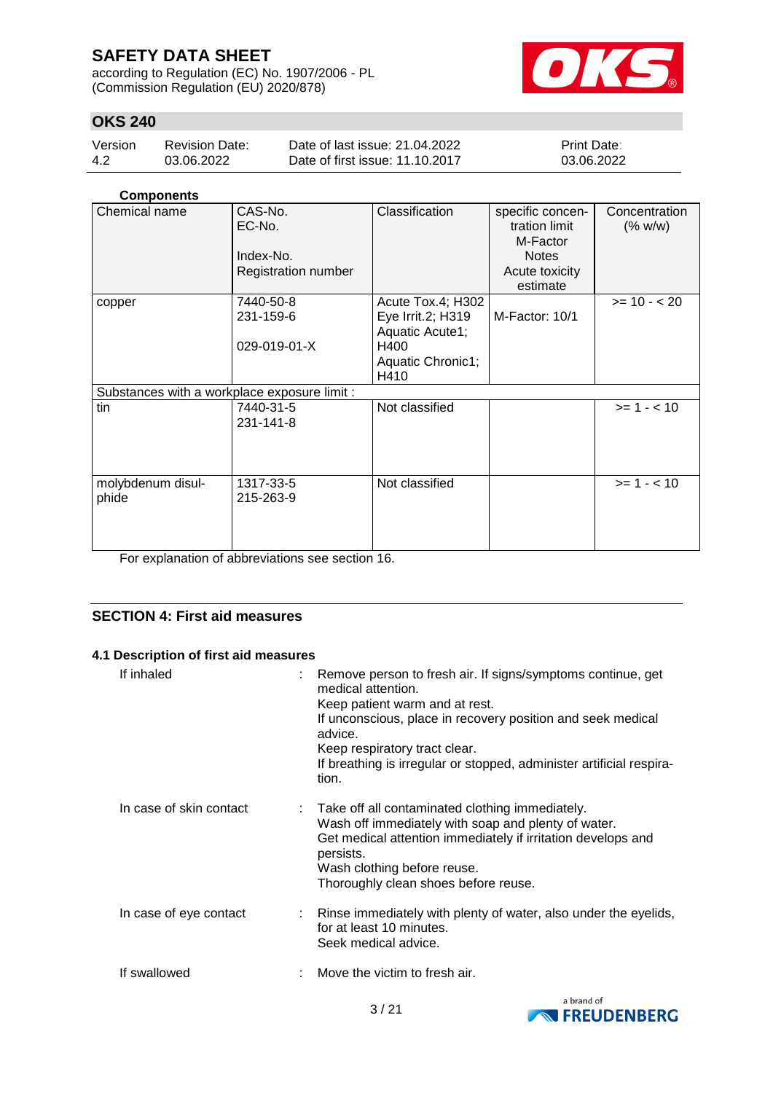according to Regulation (EC) No. 1907/2006 - PL (Commission Regulation (EU) 2020/878)



## **OKS 240**

| Version | Revision Date: | Date of last issue: 21.04.2022  | <b>Print Date:</b> |
|---------|----------------|---------------------------------|--------------------|
| -4.2    | 03.06.2022     | Date of first issue: 11.10.2017 | 03.06.2022         |

## **Components**

| Chemical name                                | CAS-No.<br>EC-No.<br>Index-No.<br>Registration number | Classification                                                                                 | specific concen-<br>tration limit<br>M-Factor<br><b>Notes</b><br>Acute toxicity<br>estimate | Concentration<br>(% w/w) |
|----------------------------------------------|-------------------------------------------------------|------------------------------------------------------------------------------------------------|---------------------------------------------------------------------------------------------|--------------------------|
| copper                                       | 7440-50-8<br>231-159-6<br>029-019-01-X                | Acute Tox.4; H302<br>Eye Irrit.2; H319<br>Aquatic Acute1;<br>H400<br>Aquatic Chronic1;<br>H410 | M-Factor: 10/1                                                                              | $>= 10 - 20$             |
| Substances with a workplace exposure limit : |                                                       |                                                                                                |                                                                                             |                          |
| tin                                          | 7440-31-5<br>231-141-8                                | Not classified                                                                                 |                                                                                             | $>= 1 - < 10$            |
| molybdenum disul-<br>phide                   | 1317-33-5<br>215-263-9                                | Not classified                                                                                 |                                                                                             | $>= 1 - 10$              |

For explanation of abbreviations see section 16.

## **SECTION 4: First aid measures**

### **4.1 Description of first aid measures**

| If inhaled              | : Remove person to fresh air. If signs/symptoms continue, get<br>medical attention.<br>Keep patient warm and at rest.<br>If unconscious, place in recovery position and seek medical<br>advice.<br>Keep respiratory tract clear.<br>If breathing is irregular or stopped, administer artificial respira-<br>tion. |
|-------------------------|-------------------------------------------------------------------------------------------------------------------------------------------------------------------------------------------------------------------------------------------------------------------------------------------------------------------|
| In case of skin contact | : Take off all contaminated clothing immediately.<br>Wash off immediately with soap and plenty of water.<br>Get medical attention immediately if irritation develops and<br>persists.<br>Wash clothing before reuse.<br>Thoroughly clean shoes before reuse.                                                      |
| In case of eye contact  | : Rinse immediately with plenty of water, also under the eyelids,<br>for at least 10 minutes.<br>Seek medical advice.                                                                                                                                                                                             |
| If swallowed            | Move the victim to fresh air.                                                                                                                                                                                                                                                                                     |

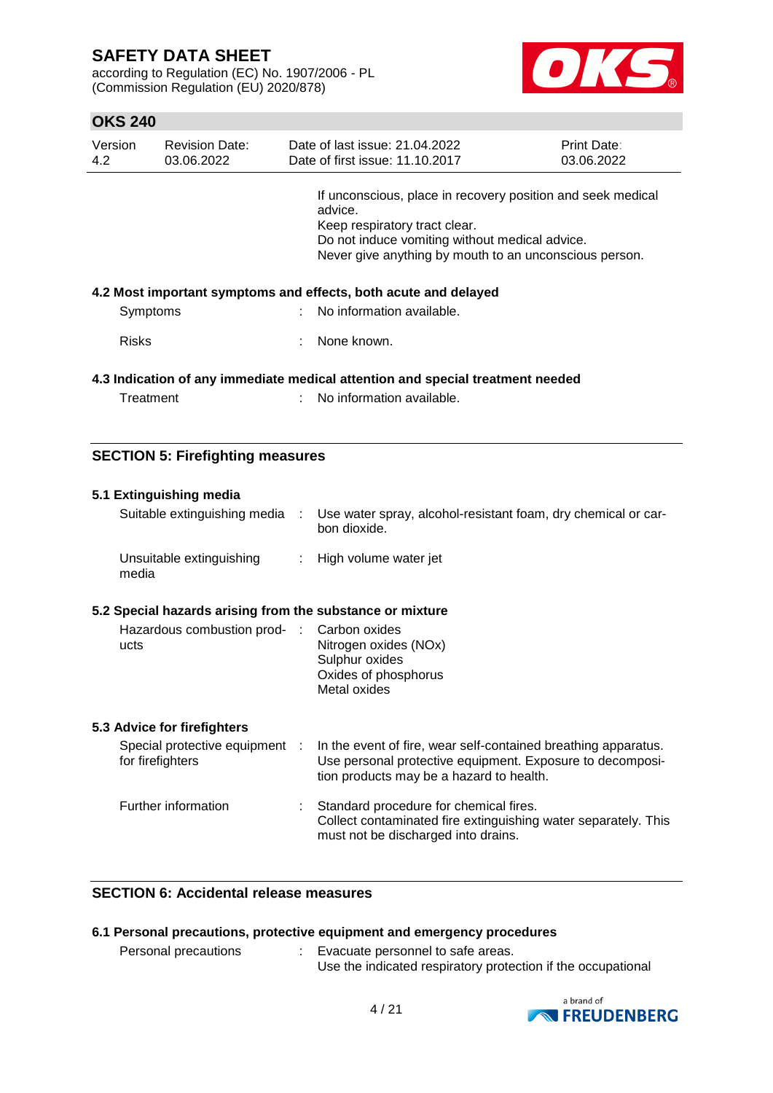according to Regulation (EC) No. 1907/2006 - PL (Commission Regulation (EU) 2020/878)



## **OKS 240**

| Version<br>4.2 | <b>Revision Date:</b><br>03.06.2022 | Date of last issue: 21.04.2022<br>Date of first issue: 11.10.2017                                                                                                                                                   | <b>Print Date:</b><br>03.06.2022 |
|----------------|-------------------------------------|---------------------------------------------------------------------------------------------------------------------------------------------------------------------------------------------------------------------|----------------------------------|
|                |                                     | If unconscious, place in recovery position and seek medical<br>advice.<br>Keep respiratory tract clear.<br>Do not induce vomiting without medical advice.<br>Never give anything by mouth to an unconscious person. |                                  |
|                |                                     | 4.2 Most important symptoms and effects, both acute and delayed                                                                                                                                                     |                                  |
| Symptoms       |                                     | No information available.                                                                                                                                                                                           |                                  |
| <b>Risks</b>   |                                     | : None known.                                                                                                                                                                                                       |                                  |
|                |                                     | 4.3 Indication of any immediate medical attention and special treatment needed                                                                                                                                      |                                  |

| Treatment | No information available. |  |
|-----------|---------------------------|--|
|-----------|---------------------------|--|

## **SECTION 5: Firefighting measures**

| 5.1 Extinguishing media                                   |    |                                                                                                                                                                         |
|-----------------------------------------------------------|----|-------------------------------------------------------------------------------------------------------------------------------------------------------------------------|
| Suitable extinguishing media :                            |    | Use water spray, alcohol-resistant foam, dry chemical or car-<br>bon dioxide.                                                                                           |
| Unsuitable extinguishing<br>media                         | ÷. | High volume water jet                                                                                                                                                   |
| 5.2 Special hazards arising from the substance or mixture |    |                                                                                                                                                                         |
| Hazardous combustion prod- : Carbon oxides<br>ucts        |    | Nitrogen oxides (NOx)<br>Sulphur oxides<br>Oxides of phosphorus<br>Metal oxides                                                                                         |
| 5.3 Advice for firefighters                               |    |                                                                                                                                                                         |
| Special protective equipment :<br>for firefighters        |    | In the event of fire, wear self-contained breathing apparatus.<br>Use personal protective equipment. Exposure to decomposi-<br>tion products may be a hazard to health. |
| Further information                                       |    | : Standard procedure for chemical fires.<br>Collect contaminated fire extinguishing water separately. This<br>must not be discharged into drains.                       |

## **SECTION 6: Accidental release measures**

|                      | 6.1 Personal precautions, protective equipment and emergency procedures |  |
|----------------------|-------------------------------------------------------------------------|--|
| Personal precautions | : Evacuate personnel to safe areas.                                     |  |
|                      | Use the indicated respiratory protection if the occupational            |  |

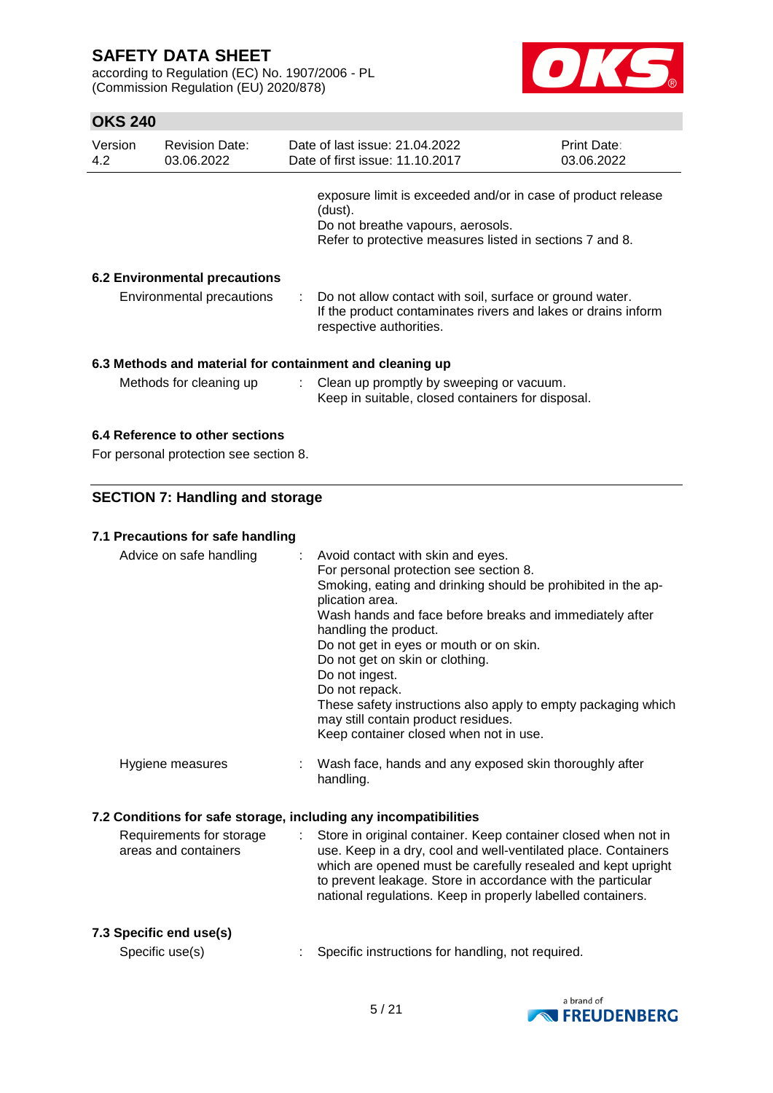according to Regulation (EC) No. 1907/2006 - PL (Commission Regulation (EU) 2020/878)



## **OKS 240**

| Version<br>4.2 | <b>Revision Date:</b><br>03.06.2022                                       |   | Date of last issue: 21.04.2022<br>Date of first issue: 11.10.2017                                                                                                                                                                                                                                                                                                                                                                                                                                                      | <b>Print Date:</b><br>03.06.2022 |
|----------------|---------------------------------------------------------------------------|---|------------------------------------------------------------------------------------------------------------------------------------------------------------------------------------------------------------------------------------------------------------------------------------------------------------------------------------------------------------------------------------------------------------------------------------------------------------------------------------------------------------------------|----------------------------------|
|                |                                                                           |   | exposure limit is exceeded and/or in case of product release<br>(dust).<br>Do not breathe vapours, aerosols.<br>Refer to protective measures listed in sections 7 and 8.                                                                                                                                                                                                                                                                                                                                               |                                  |
|                |                                                                           |   |                                                                                                                                                                                                                                                                                                                                                                                                                                                                                                                        |                                  |
|                | <b>6.2 Environmental precautions</b><br>Environmental precautions         |   | Do not allow contact with soil, surface or ground water.<br>If the product contaminates rivers and lakes or drains inform<br>respective authorities.                                                                                                                                                                                                                                                                                                                                                                   |                                  |
|                |                                                                           |   | 6.3 Methods and material for containment and cleaning up                                                                                                                                                                                                                                                                                                                                                                                                                                                               |                                  |
|                | Methods for cleaning up                                                   | ÷ | Clean up promptly by sweeping or vacuum.<br>Keep in suitable, closed containers for disposal.                                                                                                                                                                                                                                                                                                                                                                                                                          |                                  |
|                | 6.4 Reference to other sections<br>For personal protection see section 8. |   |                                                                                                                                                                                                                                                                                                                                                                                                                                                                                                                        |                                  |
|                | <b>SECTION 7: Handling and storage</b>                                    |   |                                                                                                                                                                                                                                                                                                                                                                                                                                                                                                                        |                                  |
|                |                                                                           |   |                                                                                                                                                                                                                                                                                                                                                                                                                                                                                                                        |                                  |
|                | 7.1 Precautions for safe handling                                         |   |                                                                                                                                                                                                                                                                                                                                                                                                                                                                                                                        |                                  |
|                | Advice on safe handling                                                   |   | Avoid contact with skin and eyes.<br>For personal protection see section 8.<br>Smoking, eating and drinking should be prohibited in the ap-<br>plication area.<br>Wash hands and face before breaks and immediately after<br>handling the product.<br>Do not get in eyes or mouth or on skin.<br>Do not get on skin or clothing.<br>Do not ingest.<br>Do not repack.<br>These safety instructions also apply to empty packaging which<br>may still contain product residues.<br>Keep container closed when not in use. |                                  |
|                | Hygiene measures                                                          |   | Wash face, hands and any exposed skin thoroughly after<br>handling.                                                                                                                                                                                                                                                                                                                                                                                                                                                    |                                  |
|                |                                                                           |   | 7.2 Conditions for safe storage, including any incompatibilities                                                                                                                                                                                                                                                                                                                                                                                                                                                       |                                  |
|                | Requirements for storage<br>areas and containers                          |   | Store in original container. Keep container closed when not in<br>use. Keep in a dry, cool and well-ventilated place. Containers<br>which are opened must be carefully resealed and kept upright<br>to prevent leakage. Store in accordance with the particular<br>national regulations. Keep in properly labelled containers.                                                                                                                                                                                         |                                  |
|                | 7.2 Cnooifia and usala)                                                   |   |                                                                                                                                                                                                                                                                                                                                                                                                                                                                                                                        |                                  |

## **7.3 Specific end use(s)**

Specific use(s) : Specific instructions for handling, not required.

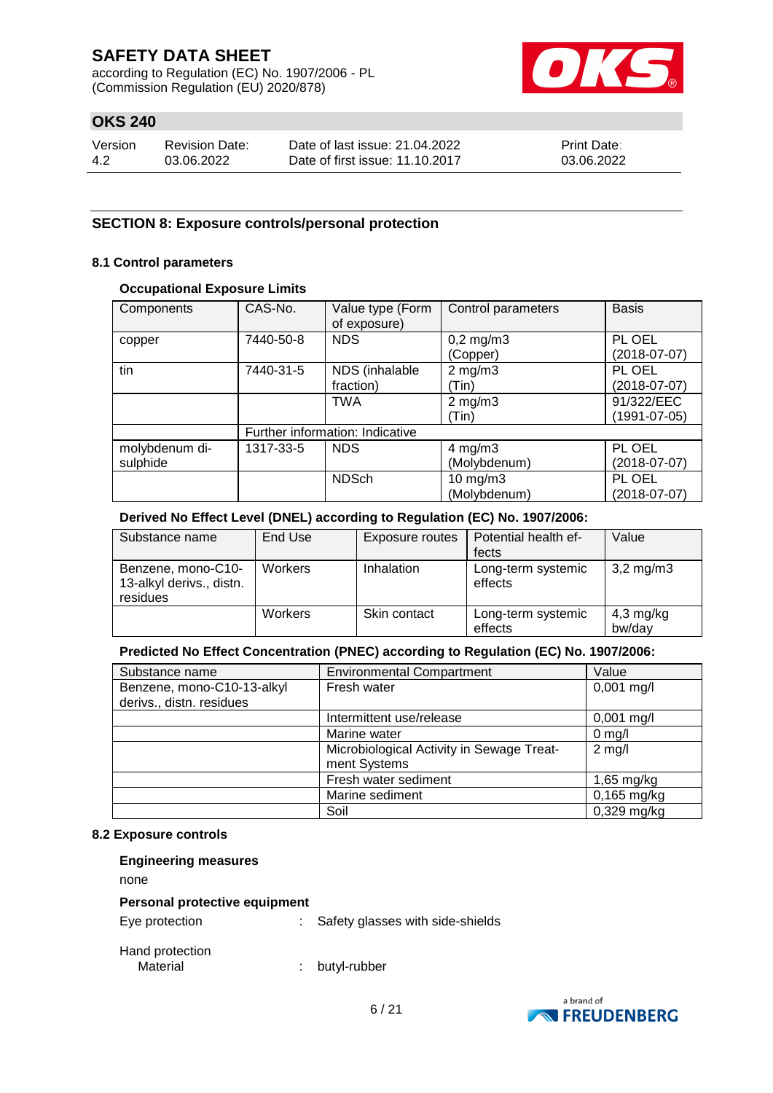according to Regulation (EC) No. 1907/2006 - PL (Commission Regulation (EU) 2020/878)



## **OKS 240**

| Version | <b>Revision Date:</b> | Date of last issue: 21.04.2022  | <b>Print Date:</b> |
|---------|-----------------------|---------------------------------|--------------------|
| -4.2    | 03.06.2022            | Date of first issue: 11.10.2017 | 03.06.2022         |

### **SECTION 8: Exposure controls/personal protection**

#### **8.1 Control parameters**

### **Occupational Exposure Limits**

| Components     | CAS-No.   | Value type (Form<br>of exposure) | Control parameters | <b>Basis</b>   |
|----------------|-----------|----------------------------------|--------------------|----------------|
| copper         | 7440-50-8 | <b>NDS</b>                       | $0,2$ mg/m $3$     | PL OEL         |
|                |           |                                  | (Copper)           | $(2018-07-07)$ |
| tin            | 7440-31-5 | NDS (inhalable                   | $2$ mg/m $3$       | PL OEL         |
|                |           | fraction)                        | (Tin)              | $(2018-07-07)$ |
|                |           | <b>TWA</b>                       | $2$ mg/m $3$       | 91/322/EEC     |
|                |           |                                  | (Tin)              | (1991-07-05)   |
|                |           | Further information: Indicative  |                    |                |
| molybdenum di- | 1317-33-5 | <b>NDS</b>                       | 4 mg/m $3$         | PL OEL         |
| sulphide       |           |                                  | (Molybdenum)       | (2018-07-07)   |
|                |           | <b>NDSch</b>                     | $10$ mg/m $3$      | PL OEL         |
|                |           |                                  | (Molybdenum)       | $(2018-07-07)$ |

### **Derived No Effect Level (DNEL) according to Regulation (EC) No. 1907/2006:**

| Substance name                                             | End Use        | Exposure routes | Potential health ef-<br>fects | Value                 |
|------------------------------------------------------------|----------------|-----------------|-------------------------------|-----------------------|
| Benzene, mono-C10-<br>13-alkyl derivs., distn.<br>residues | <b>Workers</b> | Inhalation      | Long-term systemic<br>effects | $3,2 \,\mathrm{mg/m}$ |
|                                                            | <b>Workers</b> | Skin contact    | Long-term systemic<br>effects | $4,3$ mg/kg<br>bw/day |

### **Predicted No Effect Concentration (PNEC) according to Regulation (EC) No. 1907/2006:**

| Substance name             | <b>Environmental Compartment</b>          | Value         |
|----------------------------|-------------------------------------------|---------------|
| Benzene, mono-C10-13-alkyl | Fresh water                               | $0,001$ mg/l  |
| derivs., distn. residues   |                                           |               |
|                            | Intermittent use/release                  | $0,001$ mg/l  |
|                            | Marine water                              | $0$ mg/l      |
|                            | Microbiological Activity in Sewage Treat- | $2$ mg/l      |
|                            | ment Systems                              |               |
|                            | Fresh water sediment                      | $1,65$ mg/kg  |
|                            | Marine sediment                           | $0,165$ mg/kg |
|                            | Soil                                      | $0,329$ mg/kg |

#### **8.2 Exposure controls**

| <b>Engineering measures</b>                     |    |                                  |
|-------------------------------------------------|----|----------------------------------|
| none                                            |    |                                  |
| Personal protective equipment<br>Eye protection | t. | Safety glasses with side-shields |
| Hand protection<br>Material                     | ٠  | butyl-rubber                     |

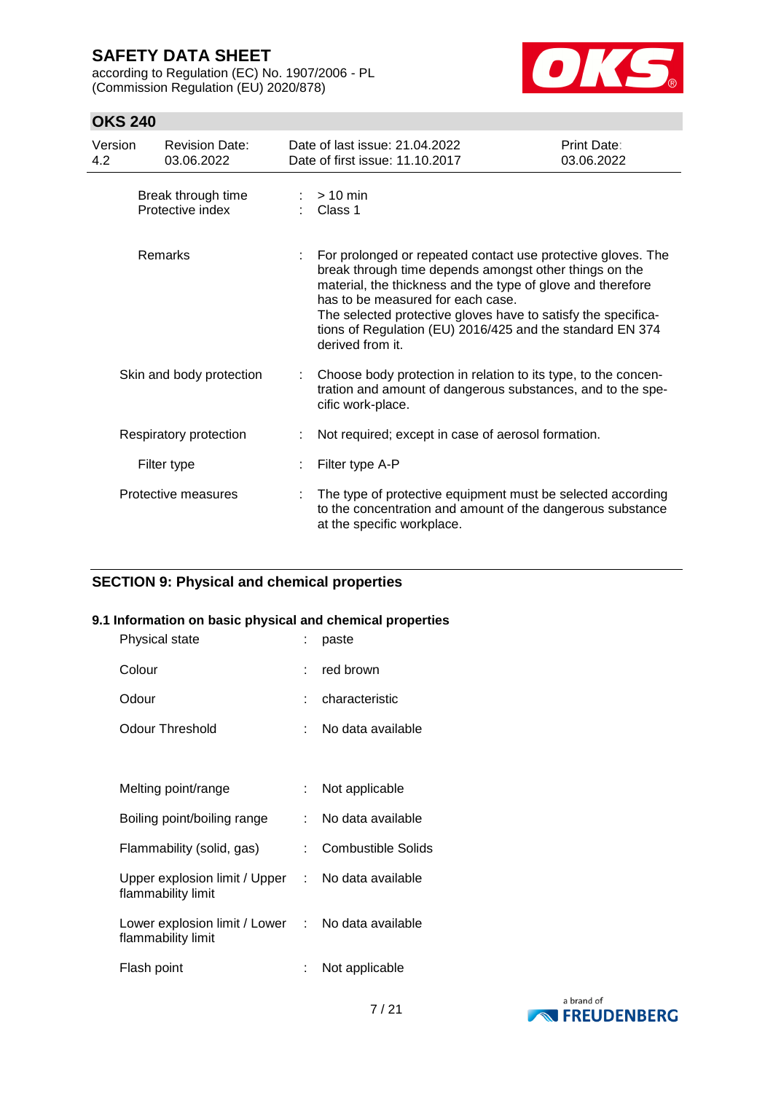according to Regulation (EC) No. 1907/2006 - PL (Commission Regulation (EU) 2020/878)



## **OKS 240**

| Version<br>4.2 | <b>Revision Date:</b><br>03.06.2022    |    | Date of last issue: 21.04.2022<br>Date of first issue: 11.10.2017                                                                                                                                                                                                                                                                                                            | Print Date:<br>03.06.2022 |
|----------------|----------------------------------------|----|------------------------------------------------------------------------------------------------------------------------------------------------------------------------------------------------------------------------------------------------------------------------------------------------------------------------------------------------------------------------------|---------------------------|
|                | Break through time<br>Protective index |    | $> 10$ min<br>Class 1                                                                                                                                                                                                                                                                                                                                                        |                           |
|                | Remarks                                |    | For prolonged or repeated contact use protective gloves. The<br>break through time depends amongst other things on the<br>material, the thickness and the type of glove and therefore<br>has to be measured for each case.<br>The selected protective gloves have to satisfy the specifica-<br>tions of Regulation (EU) 2016/425 and the standard EN 374<br>derived from it. |                           |
|                | Skin and body protection               | ÷. | Choose body protection in relation to its type, to the concen-<br>tration and amount of dangerous substances, and to the spe-<br>cific work-place.                                                                                                                                                                                                                           |                           |
|                | Respiratory protection                 |    | Not required; except in case of aerosol formation.                                                                                                                                                                                                                                                                                                                           |                           |
|                | Filter type                            |    | Filter type A-P                                                                                                                                                                                                                                                                                                                                                              |                           |
|                | Protective measures                    |    | The type of protective equipment must be selected according<br>to the concentration and amount of the dangerous substance<br>at the specific workplace.                                                                                                                                                                                                                      |                           |

## **SECTION 9: Physical and chemical properties**

### **9.1 Information on basic physical and chemical properties**

| Physical state                                                          |     | paste                     |
|-------------------------------------------------------------------------|-----|---------------------------|
| Colour                                                                  |     | red brown                 |
| Odour                                                                   |     | characteristic            |
| Odour Threshold                                                         | × 1 | No data available         |
|                                                                         |     |                           |
| Melting point/range                                                     | t.  | Not applicable            |
| Boiling point/boiling range                                             | t.  | No data available         |
| Flammability (solid, gas)                                               | t.  | <b>Combustible Solids</b> |
| Upper explosion limit / Upper :<br>flammability limit                   |     | No data available         |
| Lower explosion limit / Lower : No data available<br>flammability limit |     |                           |
| Flash point                                                             |     | Not applicable            |

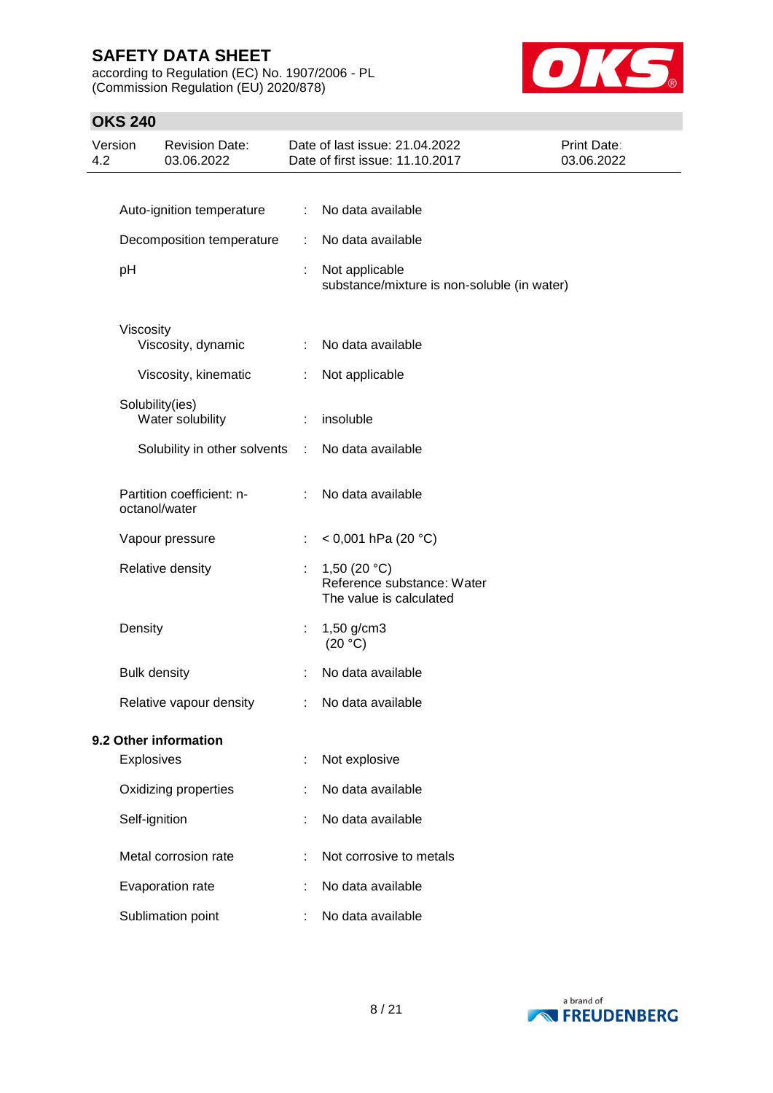according to Regulation (EC) No. 1907/2006 - PL (Commission Regulation (EU) 2020/878)



| 4.2 | Version             | <b>Revision Date:</b><br>03.06.2022        |    | Date of last issue: 21.04.2022<br>Date of first issue: 11.10.2017       | Print Date:<br>03.06.2022 |
|-----|---------------------|--------------------------------------------|----|-------------------------------------------------------------------------|---------------------------|
|     |                     |                                            |    |                                                                         |                           |
|     |                     | Auto-ignition temperature                  | ÷  | No data available                                                       |                           |
|     |                     | Decomposition temperature                  | ÷  | No data available                                                       |                           |
|     | pH                  |                                            | ÷  | Not applicable<br>substance/mixture is non-soluble (in water)           |                           |
|     | Viscosity           | Viscosity, dynamic                         | ÷  | No data available                                                       |                           |
|     |                     | Viscosity, kinematic                       | ÷  | Not applicable                                                          |                           |
|     |                     | Solubility(ies)                            |    |                                                                         |                           |
|     |                     | Water solubility                           | ÷  | insoluble                                                               |                           |
|     |                     | Solubility in other solvents               | ÷. | No data available                                                       |                           |
|     |                     | Partition coefficient: n-<br>octanol/water | ÷  | No data available                                                       |                           |
|     |                     | Vapour pressure                            | t  | $<$ 0,001 hPa (20 °C)                                                   |                           |
|     |                     | Relative density                           | ÷  | 1,50 $(20 °C)$<br>Reference substance: Water<br>The value is calculated |                           |
|     | Density             |                                            | t  | 1,50 g/cm3<br>(20 °C)                                                   |                           |
|     | <b>Bulk density</b> |                                            |    | No data available                                                       |                           |
|     |                     | Relative vapour density                    |    | No data available                                                       |                           |
|     |                     | 9.2 Other information                      |    |                                                                         |                           |
|     | Explosives          |                                            | t  | Not explosive                                                           |                           |
|     |                     | Oxidizing properties                       |    | No data available                                                       |                           |
|     | Self-ignition       |                                            |    | No data available                                                       |                           |
|     |                     | Metal corrosion rate                       |    | Not corrosive to metals                                                 |                           |
|     |                     | Evaporation rate                           |    | No data available                                                       |                           |
|     |                     | Sublimation point                          |    | No data available                                                       |                           |

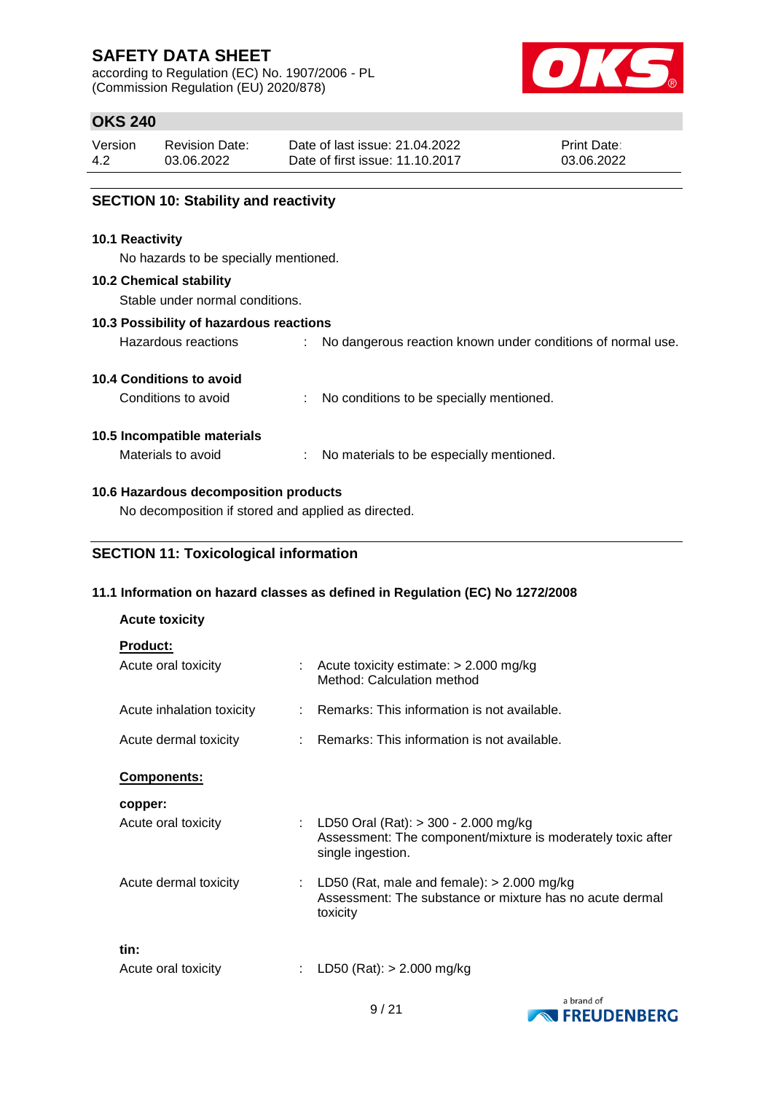according to Regulation (EC) No. 1907/2006 - PL (Commission Regulation (EU) 2020/878)



## **OKS 240**

| Version | <b>Revision Date:</b> | Date of last issue: 21.04.2022  | <b>Print Date:</b> |
|---------|-----------------------|---------------------------------|--------------------|
| 4.2     | 03.06.2022            | Date of first issue: 11.10.2017 | 03.06.2022         |
|         |                       |                                 |                    |

Hazardous reactions : No dangerous reaction known under conditions of normal use.

### **SECTION 10: Stability and reactivity**

#### **10.1 Reactivity**

No hazards to be specially mentioned.

#### **10.2 Chemical stability**

Stable under normal conditions.

#### **10.3 Possibility of hazardous reactions**

| <b>10.4 Conditions to avoid</b> |  |
|---------------------------------|--|

| Conditions to avoid | No conditions to be specially mentioned. |
|---------------------|------------------------------------------|
|---------------------|------------------------------------------|

### **10.5 Incompatible materials**

Materials to avoid : No materials to be especially mentioned.

### **10.6 Hazardous decomposition products**

No decomposition if stored and applied as directed.

## **SECTION 11: Toxicological information**

### **11.1 Information on hazard classes as defined in Regulation (EC) No 1272/2008**

| <b>Acute toxicity</b>                  |                                                                                                                              |
|----------------------------------------|------------------------------------------------------------------------------------------------------------------------------|
| <b>Product:</b><br>Acute oral toxicity | : Acute toxicity estimate: $> 2.000$ mg/kg<br>Method: Calculation method                                                     |
| Acute inhalation toxicity              | $\therefore$ Remarks: This information is not available.                                                                     |
| Acute dermal toxicity                  | : Remarks: This information is not available.                                                                                |
| Components:                            |                                                                                                                              |
| copper:                                |                                                                                                                              |
| Acute oral toxicity                    | : LD50 Oral (Rat): $>$ 300 - 2.000 mg/kg<br>Assessment: The component/mixture is moderately toxic after<br>single ingestion. |
| Acute dermal toxicity                  | : LD50 (Rat, male and female): $> 2.000$ mg/kg<br>Assessment: The substance or mixture has no acute dermal<br>toxicity       |
| tin:<br>Acute oral toxicity            | LD50 (Rat): $> 2.000$ mg/kg                                                                                                  |

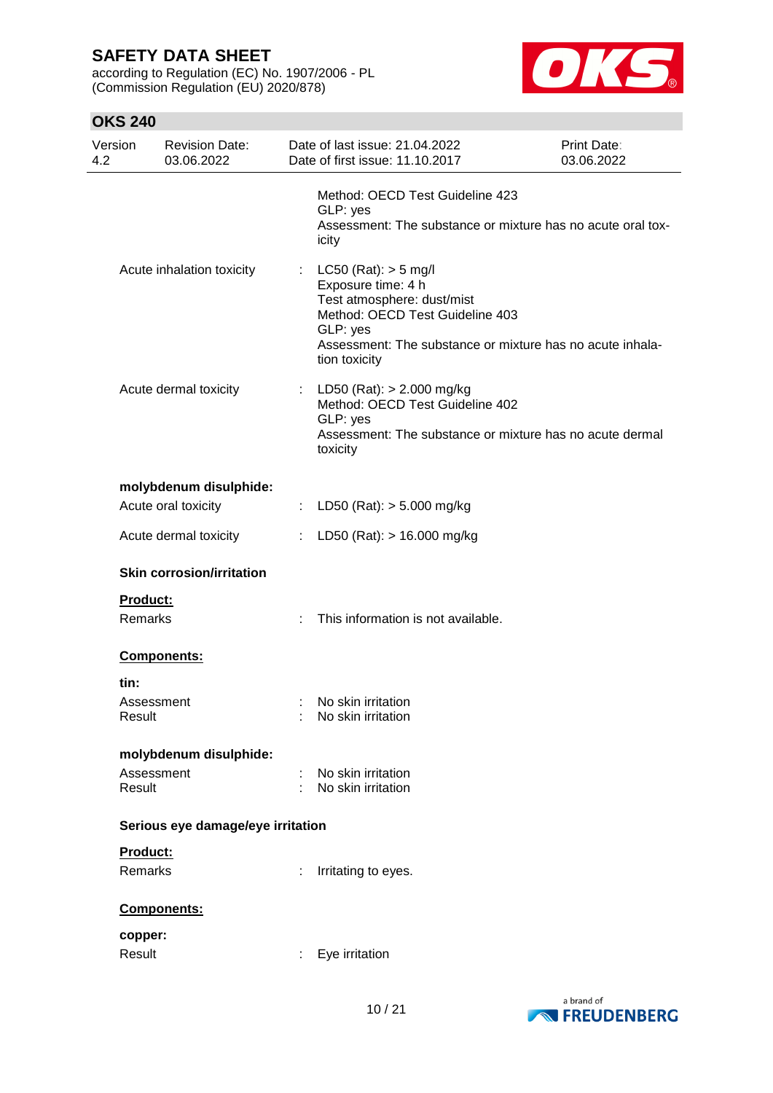according to Regulation (EC) No. 1907/2006 - PL (Commission Regulation (EU) 2020/878)



| Version<br>4.2             | <b>Revision Date:</b><br>03.06.2022 |    | Date of last issue: 21.04.2022<br>Date of first issue: 11.10.2017                                                                                                                                         | <b>Print Date:</b><br>03.06.2022 |
|----------------------------|-------------------------------------|----|-----------------------------------------------------------------------------------------------------------------------------------------------------------------------------------------------------------|----------------------------------|
|                            |                                     |    | Method: OECD Test Guideline 423<br>GLP: yes<br>Assessment: The substance or mixture has no acute oral tox-<br>icity                                                                                       |                                  |
|                            | Acute inhalation toxicity           |    | : LC50 (Rat): $>$ 5 mg/l<br>Exposure time: 4 h<br>Test atmosphere: dust/mist<br>Method: OECD Test Guideline 403<br>GLP: yes<br>Assessment: The substance or mixture has no acute inhala-<br>tion toxicity |                                  |
|                            | Acute dermal toxicity               |    | : LD50 (Rat): $> 2.000$ mg/kg<br>Method: OECD Test Guideline 402<br>GLP: yes<br>Assessment: The substance or mixture has no acute dermal<br>toxicity                                                      |                                  |
|                            | molybdenum disulphide:              |    |                                                                                                                                                                                                           |                                  |
|                            | Acute oral toxicity                 |    | : LD50 (Rat): $>$ 5.000 mg/kg                                                                                                                                                                             |                                  |
|                            | Acute dermal toxicity               | ÷. | LD50 (Rat): $> 16.000$ mg/kg                                                                                                                                                                              |                                  |
|                            | <b>Skin corrosion/irritation</b>    |    |                                                                                                                                                                                                           |                                  |
| Product:<br><b>Remarks</b> |                                     |    | This information is not available.                                                                                                                                                                        |                                  |
|                            | Components:                         |    |                                                                                                                                                                                                           |                                  |
| tin:                       |                                     |    |                                                                                                                                                                                                           |                                  |
| Result                     | Assessment                          |    | No skin irritation<br>No skin irritation                                                                                                                                                                  |                                  |
|                            | molybdenum disulphide:              |    |                                                                                                                                                                                                           |                                  |
|                            | Assessment                          |    | No skin irritation                                                                                                                                                                                        |                                  |
| Result                     |                                     |    | No skin irritation                                                                                                                                                                                        |                                  |
|                            | Serious eye damage/eye irritation   |    |                                                                                                                                                                                                           |                                  |
| Product:                   |                                     |    |                                                                                                                                                                                                           |                                  |
| Remarks                    |                                     | ÷  | Irritating to eyes.                                                                                                                                                                                       |                                  |
|                            | Components:                         |    |                                                                                                                                                                                                           |                                  |
| copper:                    |                                     |    |                                                                                                                                                                                                           |                                  |
| Result                     |                                     |    | Eye irritation                                                                                                                                                                                            |                                  |
|                            |                                     |    |                                                                                                                                                                                                           |                                  |

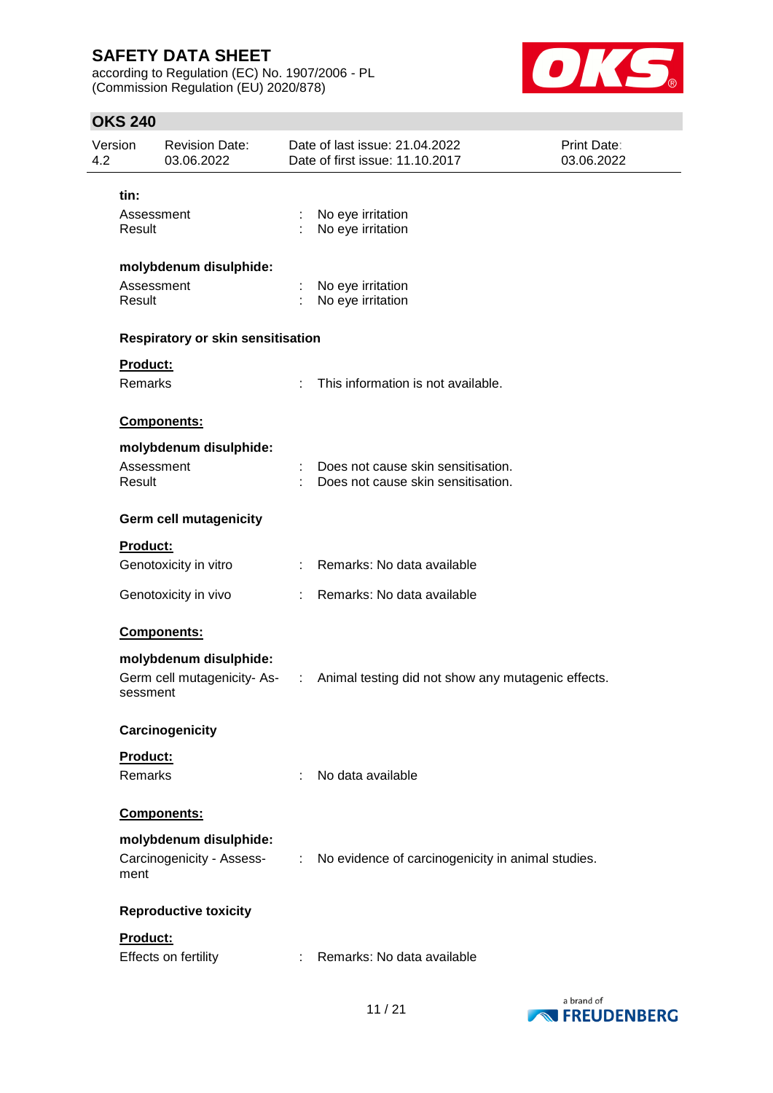according to Regulation (EC) No. 1907/2006 - PL (Commission Regulation (EU) 2020/878)



| 4.2 | Version<br><b>Revision Date:</b><br>03.06.2022 |                                                     |                       | Date of last issue: 21.04.2022<br>Date of first issue: 11.10.2017               | Print Date:<br>03.06.2022 |
|-----|------------------------------------------------|-----------------------------------------------------|-----------------------|---------------------------------------------------------------------------------|---------------------------|
|     | tin:                                           |                                                     |                       |                                                                                 |                           |
|     | Assessment<br>Result                           |                                                     | ÷                     | No eye irritation<br>No eye irritation                                          |                           |
|     |                                                | molybdenum disulphide:                              |                       |                                                                                 |                           |
|     | Assessment<br>Result                           |                                                     |                       | No eye irritation<br>No eye irritation                                          |                           |
|     |                                                | Respiratory or skin sensitisation                   |                       |                                                                                 |                           |
|     | Product:                                       |                                                     |                       |                                                                                 |                           |
|     | Remarks                                        |                                                     | ÷                     | This information is not available.                                              |                           |
|     |                                                | Components:                                         |                       |                                                                                 |                           |
|     |                                                | molybdenum disulphide:                              |                       |                                                                                 |                           |
|     | Assessment<br>Result                           |                                                     |                       | Does not cause skin sensitisation.<br>Does not cause skin sensitisation.        |                           |
|     |                                                | <b>Germ cell mutagenicity</b>                       |                       |                                                                                 |                           |
|     | Product:                                       |                                                     |                       |                                                                                 |                           |
|     |                                                | Genotoxicity in vitro                               |                       | : Remarks: No data available                                                    |                           |
|     |                                                | Genotoxicity in vivo                                |                       | Remarks: No data available                                                      |                           |
|     |                                                | Components:                                         |                       |                                                                                 |                           |
|     |                                                | molybdenum disulphide:                              |                       |                                                                                 |                           |
|     | sessment                                       |                                                     |                       | Germ cell mutagenicity-As- : Animal testing did not show any mutagenic effects. |                           |
|     |                                                | Carcinogenicity                                     |                       |                                                                                 |                           |
|     | Product:                                       |                                                     |                       |                                                                                 |                           |
|     | Remarks                                        |                                                     | ÷                     | No data available                                                               |                           |
|     |                                                | Components:                                         |                       |                                                                                 |                           |
|     | ment                                           | molybdenum disulphide:<br>Carcinogenicity - Assess- | $\mathbb{C}^{\times}$ | No evidence of carcinogenicity in animal studies.                               |                           |
|     |                                                | <b>Reproductive toxicity</b>                        |                       |                                                                                 |                           |
|     | Product:                                       |                                                     |                       |                                                                                 |                           |
|     |                                                | Effects on fertility                                |                       | Remarks: No data available                                                      |                           |

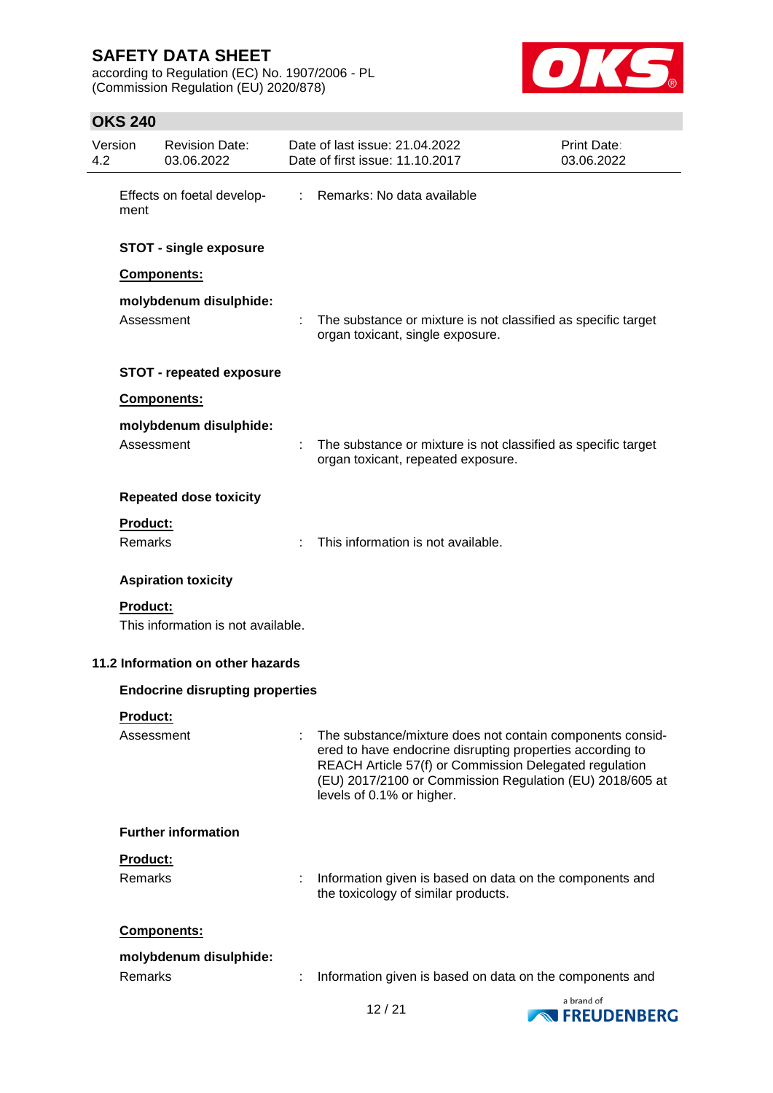according to Regulation (EC) No. 1907/2006 - PL (Commission Regulation (EU) 2020/878)



| 4.2 | Version                | <b>Revision Date:</b><br>03.06.2022    |    | Date of last issue: 21.04.2022<br>Date of first issue: 11.10.2017                                                                                                                                                                                                         | Print Date:<br>03.06.2022 |
|-----|------------------------|----------------------------------------|----|---------------------------------------------------------------------------------------------------------------------------------------------------------------------------------------------------------------------------------------------------------------------------|---------------------------|
|     | ment                   | Effects on foetal develop-             | ÷. | Remarks: No data available                                                                                                                                                                                                                                                |                           |
|     |                        | <b>STOT - single exposure</b>          |    |                                                                                                                                                                                                                                                                           |                           |
|     |                        | Components:                            |    |                                                                                                                                                                                                                                                                           |                           |
|     | Assessment             | molybdenum disulphide:                 |    | The substance or mixture is not classified as specific target<br>organ toxicant, single exposure.                                                                                                                                                                         |                           |
|     |                        | <b>STOT - repeated exposure</b>        |    |                                                                                                                                                                                                                                                                           |                           |
|     |                        | Components:                            |    |                                                                                                                                                                                                                                                                           |                           |
|     | Assessment             | molybdenum disulphide:                 |    | The substance or mixture is not classified as specific target<br>organ toxicant, repeated exposure.                                                                                                                                                                       |                           |
|     |                        | <b>Repeated dose toxicity</b>          |    |                                                                                                                                                                                                                                                                           |                           |
|     | Product:<br>Remarks    |                                        |    | This information is not available.                                                                                                                                                                                                                                        |                           |
|     |                        | <b>Aspiration toxicity</b>             |    |                                                                                                                                                                                                                                                                           |                           |
|     | <b>Product:</b>        | This information is not available.     |    |                                                                                                                                                                                                                                                                           |                           |
|     |                        | 11.2 Information on other hazards      |    |                                                                                                                                                                                                                                                                           |                           |
|     |                        | <b>Endocrine disrupting properties</b> |    |                                                                                                                                                                                                                                                                           |                           |
|     | Product:<br>Assessment |                                        |    | The substance/mixture does not contain components consid-<br>ered to have endocrine disrupting properties according to<br>REACH Article 57(f) or Commission Delegated regulation<br>(EU) 2017/2100 or Commission Regulation (EU) 2018/605 at<br>levels of 0.1% or higher. |                           |
|     |                        | <b>Further information</b>             |    |                                                                                                                                                                                                                                                                           |                           |
|     | Product:<br>Remarks    |                                        | ÷  | Information given is based on data on the components and<br>the toxicology of similar products.                                                                                                                                                                           |                           |
|     |                        | Components:                            |    |                                                                                                                                                                                                                                                                           |                           |
|     | Remarks                | molybdenum disulphide:                 |    | Information given is based on data on the components and                                                                                                                                                                                                                  |                           |
|     |                        |                                        |    |                                                                                                                                                                                                                                                                           | a brand of                |

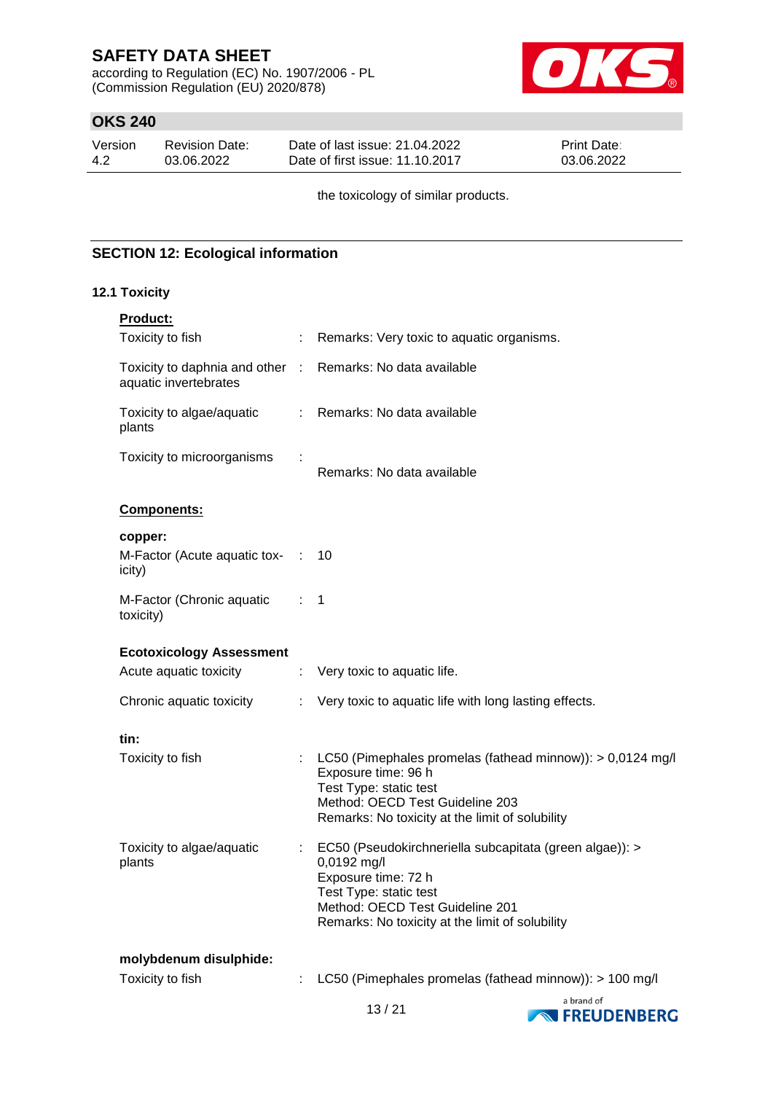according to Regulation (EC) No. 1907/2006 - PL (Commission Regulation (EU) 2020/878)



## **OKS 240**

| Version | <b>Revision Date:</b> | Date of last issue: 21.04.2022  | <b>Print Date:</b> |
|---------|-----------------------|---------------------------------|--------------------|
| -4.2    | 03.06.2022            | Date of first issue: 11.10.2017 | 03.06.2022         |

the toxicology of similar products.

### **SECTION 12: Ecological information**

### **12.1 Toxicity**

| <b>Product:</b>                                        |                   |                                                                                                                                                                                                               |
|--------------------------------------------------------|-------------------|---------------------------------------------------------------------------------------------------------------------------------------------------------------------------------------------------------------|
| Toxicity to fish                                       |                   | Remarks: Very toxic to aquatic organisms.                                                                                                                                                                     |
| Toxicity to daphnia and other<br>aquatic invertebrates | $\sim$ 100 $\sim$ | Remarks: No data available                                                                                                                                                                                    |
| Toxicity to algae/aquatic<br>plants                    |                   | : Remarks: No data available                                                                                                                                                                                  |
| Toxicity to microorganisms                             |                   | Remarks: No data available                                                                                                                                                                                    |
| Components:                                            |                   |                                                                                                                                                                                                               |
| copper:                                                |                   |                                                                                                                                                                                                               |
| M-Factor (Acute aquatic tox- :<br>icity)               |                   | 10                                                                                                                                                                                                            |
| M-Factor (Chronic aquatic<br>toxicity)                 | $\cdots$ 1        |                                                                                                                                                                                                               |
| <b>Ecotoxicology Assessment</b>                        |                   |                                                                                                                                                                                                               |
| Acute aquatic toxicity                                 | t.                | Very toxic to aquatic life.                                                                                                                                                                                   |
| Chronic aquatic toxicity                               | ÷                 | Very toxic to aquatic life with long lasting effects.                                                                                                                                                         |
| tin:                                                   |                   |                                                                                                                                                                                                               |
| Toxicity to fish                                       |                   | LC50 (Pimephales promelas (fathead minnow)): > 0,0124 mg/l<br>Exposure time: 96 h<br>Test Type: static test<br>Method: OECD Test Guideline 203<br>Remarks: No toxicity at the limit of solubility             |
| Toxicity to algae/aquatic<br>plants                    |                   | EC50 (Pseudokirchneriella subcapitata (green algae)): ><br>0,0192 mg/l<br>Exposure time: 72 h<br>Test Type: static test<br>Method: OECD Test Guideline 201<br>Remarks: No toxicity at the limit of solubility |
| molybdenum disulphide:                                 |                   |                                                                                                                                                                                                               |
| Toxicity to fish                                       | ÷                 | LC50 (Pimephales promelas (fathead minnow)): > 100 mg/l                                                                                                                                                       |

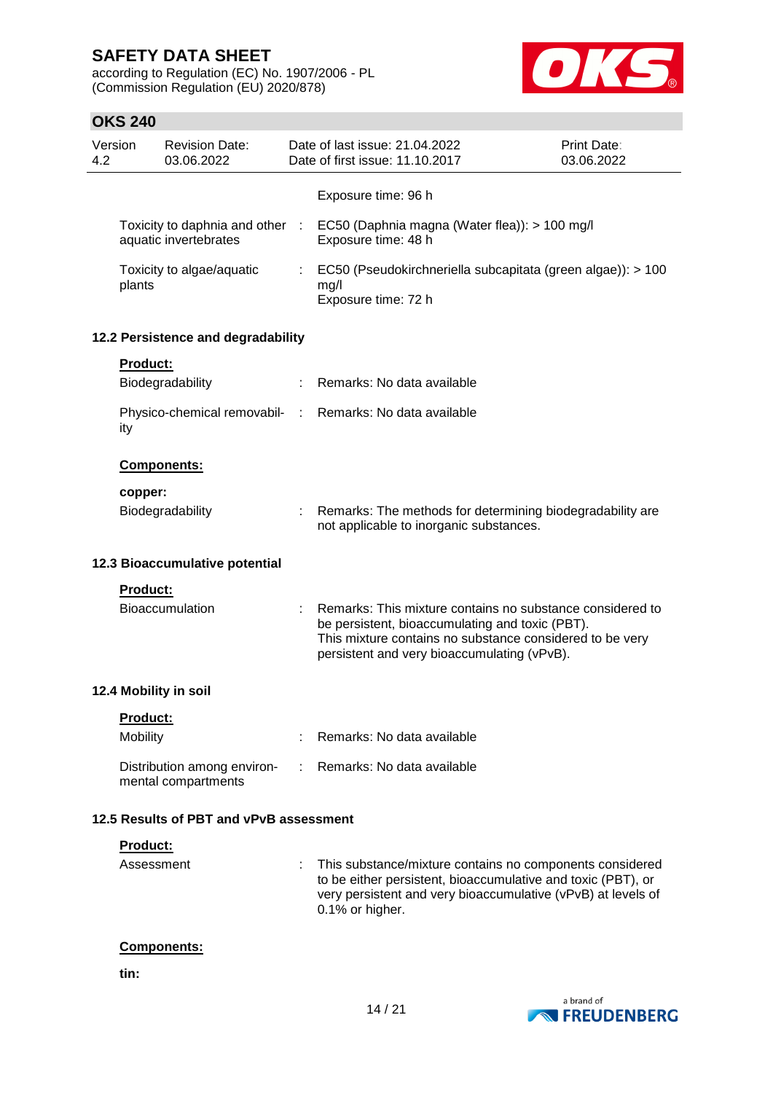according to Regulation (EC) No. 1907/2006 - PL (Commission Regulation (EU) 2020/878)



## **OKS 240**

| Version<br>4.2 |                 | <b>Revision Date:</b><br>03.06.2022                      |      | Date of last issue: 21.04.2022<br>Date of first issue: 11.10.2017                                                                                                                                                       | <b>Print Date:</b><br>03.06.2022 |
|----------------|-----------------|----------------------------------------------------------|------|-------------------------------------------------------------------------------------------------------------------------------------------------------------------------------------------------------------------------|----------------------------------|
|                |                 |                                                          |      | Exposure time: 96 h                                                                                                                                                                                                     |                                  |
|                |                 | Toxicity to daphnia and other :<br>aquatic invertebrates |      | EC50 (Daphnia magna (Water flea)): > 100 mg/l<br>Exposure time: 48 h                                                                                                                                                    |                                  |
|                | plants          | Toxicity to algae/aquatic                                |      | EC50 (Pseudokirchneriella subcapitata (green algae)): > 100<br>mg/l<br>Exposure time: 72 h                                                                                                                              |                                  |
|                |                 | 12.2 Persistence and degradability                       |      |                                                                                                                                                                                                                         |                                  |
|                | <b>Product:</b> |                                                          |      |                                                                                                                                                                                                                         |                                  |
|                |                 | Biodegradability                                         |      | Remarks: No data available                                                                                                                                                                                              |                                  |
|                | ity             | Physico-chemical removabil-                              | di l | Remarks: No data available                                                                                                                                                                                              |                                  |
|                |                 | Components:                                              |      |                                                                                                                                                                                                                         |                                  |
|                | copper:         |                                                          |      |                                                                                                                                                                                                                         |                                  |
|                |                 | Biodegradability                                         |      | Remarks: The methods for determining biodegradability are<br>not applicable to inorganic substances.                                                                                                                    |                                  |
|                |                 | 12.3 Bioaccumulative potential                           |      |                                                                                                                                                                                                                         |                                  |
|                | <b>Product:</b> |                                                          |      |                                                                                                                                                                                                                         |                                  |
|                |                 | <b>Bioaccumulation</b>                                   |      | Remarks: This mixture contains no substance considered to<br>be persistent, bioaccumulating and toxic (PBT).<br>This mixture contains no substance considered to be very<br>persistent and very bioaccumulating (vPvB). |                                  |
|                |                 | 12.4 Mobility in soil                                    |      |                                                                                                                                                                                                                         |                                  |
|                | Product:        |                                                          |      |                                                                                                                                                                                                                         |                                  |
|                | Mobility        |                                                          |      | Remarks: No data available                                                                                                                                                                                              |                                  |
|                |                 | Distribution among environ-<br>mental compartments       |      | Remarks: No data available                                                                                                                                                                                              |                                  |
|                |                 | 12.5 Results of PBT and vPvB assessment                  |      |                                                                                                                                                                                                                         |                                  |
|                | Product:        |                                                          |      |                                                                                                                                                                                                                         |                                  |
|                | Assessment      |                                                          | ÷    | This substance/mixture contains no components considered<br>to be either persistent, bioaccumulative and toxic (PBT), or<br>very persistent and very bioaccumulative (vPvB) at levels of<br>0.1% or higher.             |                                  |

## **Components:**

**tin:**

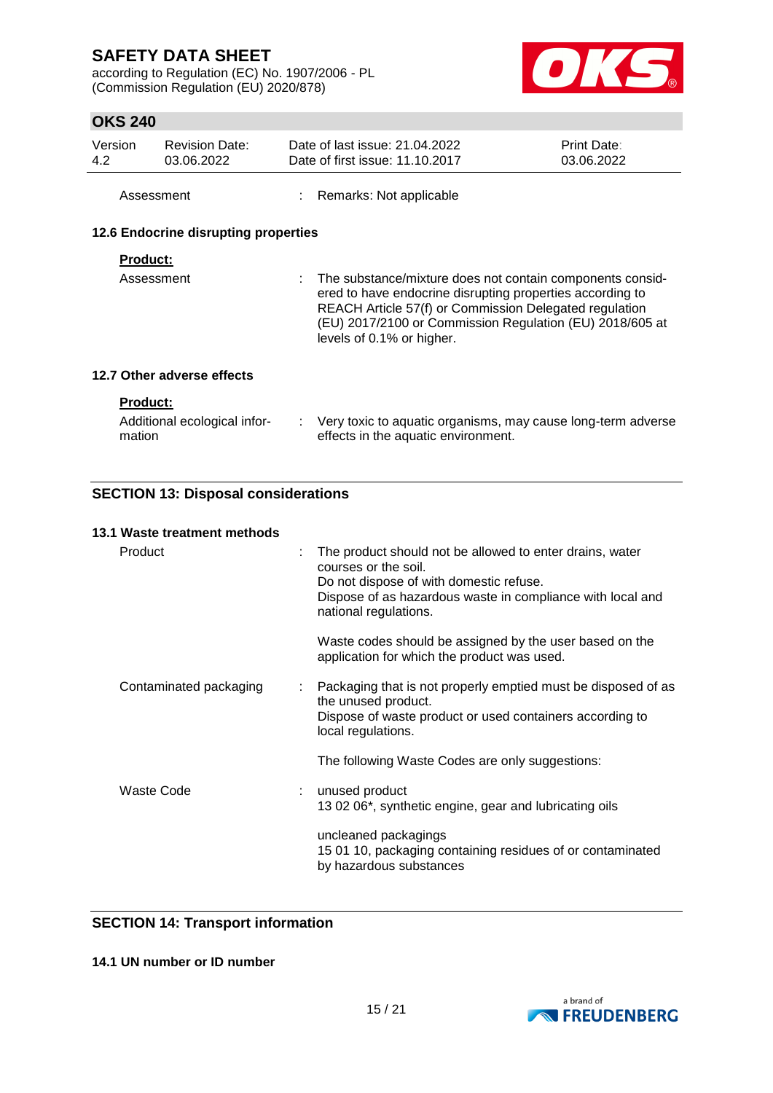according to Regulation (EC) No. 1907/2006 - PL (Commission Regulation (EU) 2020/878)



## **OKS 240**

| Version    | <b>Revision Date:</b> | Date of last issue: 21.04.2022  | <b>Print Date:</b> |
|------------|-----------------------|---------------------------------|--------------------|
| 4.2        | 03.06.2022            | Date of first issue: 11.10.2017 | 03.06.2022         |
| Assessment |                       | : Remarks: Not applicable       |                    |

### **12.6 Endocrine disrupting properties**

### **Product:**

| Assessment | : The substance/mixture does not contain components consid-<br>ered to have endocrine disrupting properties according to<br>REACH Article 57(f) or Commission Delegated regulation<br>(EU) 2017/2100 or Commission Regulation (EU) 2018/605 at<br>levels of 0.1% or higher. |
|------------|-----------------------------------------------------------------------------------------------------------------------------------------------------------------------------------------------------------------------------------------------------------------------------|
|------------|-----------------------------------------------------------------------------------------------------------------------------------------------------------------------------------------------------------------------------------------------------------------------------|

### **12.7 Other adverse effects**

### **Product:**

| Additional ecological infor- | Very toxic to aquatic organisms, may cause long-term adverse |
|------------------------------|--------------------------------------------------------------|
| mation                       | effects in the aquatic environment.                          |

## **SECTION 13: Disposal considerations**

### **13.1 Waste treatment methods**

| Product                | The product should not be allowed to enter drains, water<br>courses or the soil.<br>Do not dispose of with domestic refuse.<br>Dispose of as hazardous waste in compliance with local and<br>national regulations. |
|------------------------|--------------------------------------------------------------------------------------------------------------------------------------------------------------------------------------------------------------------|
|                        | Waste codes should be assigned by the user based on the<br>application for which the product was used.                                                                                                             |
| Contaminated packaging | Packaging that is not properly emptied must be disposed of as<br>the unused product.<br>Dispose of waste product or used containers according to<br>local regulations.                                             |
|                        | The following Waste Codes are only suggestions:                                                                                                                                                                    |
| Waste Code             | unused product<br>13 02 06*, synthetic engine, gear and lubricating oils                                                                                                                                           |
|                        | uncleaned packagings<br>15 01 10, packaging containing residues of or contaminated<br>by hazardous substances                                                                                                      |

## **SECTION 14: Transport information**

### **14.1 UN number or ID number**

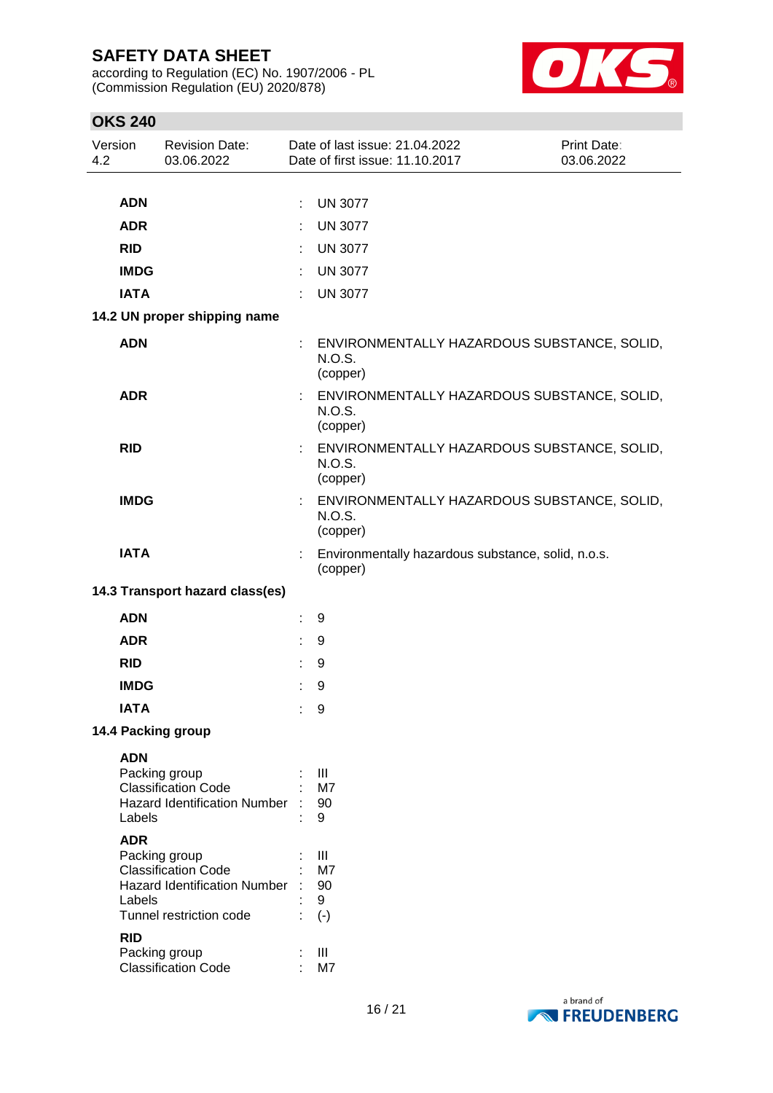according to Regulation (EC) No. 1907/2006 - PL (Commission Regulation (EU) 2020/878)



| Version<br>4.2 |             | <b>Revision Date:</b><br>03.06.2022                               |   | Date of last issue: 21.04.2022<br>Date of first issue: 11.10.2017 | Print Date:<br>03.06.2022 |
|----------------|-------------|-------------------------------------------------------------------|---|-------------------------------------------------------------------|---------------------------|
|                |             |                                                                   |   |                                                                   |                           |
|                | <b>ADN</b>  |                                                                   | ÷ | <b>UN 3077</b>                                                    |                           |
|                | <b>ADR</b>  |                                                                   |   | <b>UN 3077</b>                                                    |                           |
|                | <b>RID</b>  |                                                                   |   | <b>UN 3077</b>                                                    |                           |
|                | <b>IMDG</b> |                                                                   | ÷ | <b>UN 3077</b>                                                    |                           |
|                | <b>IATA</b> |                                                                   | ÷ | <b>UN 3077</b>                                                    |                           |
|                |             | 14.2 UN proper shipping name                                      |   |                                                                   |                           |
|                | <b>ADN</b>  |                                                                   |   | ENVIRONMENTALLY HAZARDOUS SUBSTANCE, SOLID,<br>N.O.S.<br>(copper) |                           |
|                | <b>ADR</b>  |                                                                   | ÷ | ENVIRONMENTALLY HAZARDOUS SUBSTANCE, SOLID,<br>N.O.S.<br>(copper) |                           |
|                | <b>RID</b>  |                                                                   |   | ENVIRONMENTALLY HAZARDOUS SUBSTANCE, SOLID,<br>N.O.S.<br>(copper) |                           |
|                | <b>IMDG</b> |                                                                   |   | ENVIRONMENTALLY HAZARDOUS SUBSTANCE, SOLID,<br>N.O.S.<br>(copper) |                           |
|                | <b>IATA</b> |                                                                   |   | Environmentally hazardous substance, solid, n.o.s.<br>(copper)    |                           |
|                |             | 14.3 Transport hazard class(es)                                   |   |                                                                   |                           |
|                | <b>ADN</b>  |                                                                   |   | 9                                                                 |                           |
|                | <b>ADR</b>  |                                                                   |   | 9                                                                 |                           |
|                | <b>RID</b>  |                                                                   |   | 9                                                                 |                           |
|                | <b>IMDG</b> |                                                                   |   | 9                                                                 |                           |
|                | <b>IATA</b> |                                                                   |   | 9                                                                 |                           |
|                |             | 14.4 Packing group                                                |   |                                                                   |                           |
|                | <b>ADN</b>  |                                                                   |   |                                                                   |                           |
|                |             | Packing group                                                     |   | III                                                               |                           |
|                |             | <b>Classification Code</b><br><b>Hazard Identification Number</b> |   | M7<br>90                                                          |                           |
|                | Labels      |                                                                   |   | 9                                                                 |                           |
|                | <b>ADR</b>  |                                                                   |   |                                                                   |                           |
|                |             | Packing group                                                     |   | Ш                                                                 |                           |
|                |             | <b>Classification Code</b><br><b>Hazard Identification Number</b> |   | M7<br>90                                                          |                           |
|                | Labels      |                                                                   |   | 9                                                                 |                           |
|                |             | Tunnel restriction code                                           |   | $(-)$                                                             |                           |
|                | <b>RID</b>  |                                                                   |   |                                                                   |                           |
|                |             | Packing group                                                     |   | III                                                               |                           |
|                |             | <b>Classification Code</b>                                        |   | M7                                                                |                           |

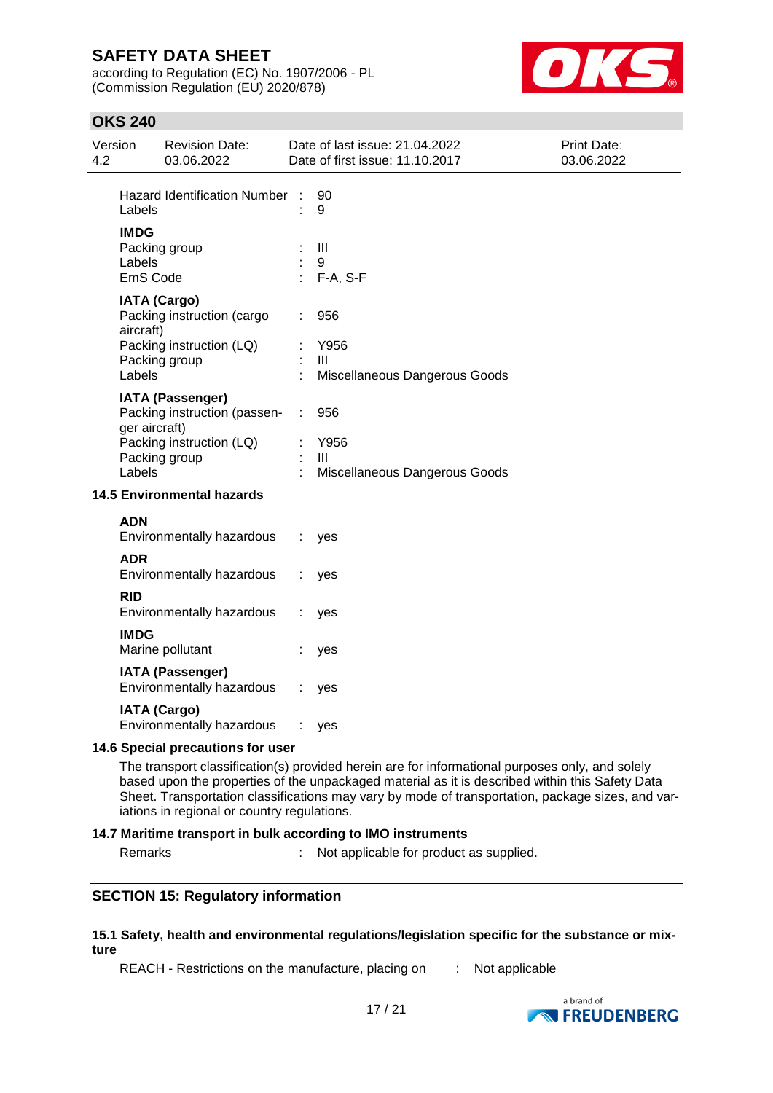according to Regulation (EC) No. 1907/2006 - PL (Commission Regulation (EU) 2020/878)



## **OKS 240**

| 4.2 | Version                                                                                                     | <b>Revision Date:</b><br>03.06.2022                                       |   | Date of last issue: 21.04.2022<br>Date of first issue: 11.10.2017 | <b>Print Date:</b><br>03.06.2022 |  |
|-----|-------------------------------------------------------------------------------------------------------------|---------------------------------------------------------------------------|---|-------------------------------------------------------------------|----------------------------------|--|
|     | Labels                                                                                                      | <b>Hazard Identification Number</b>                                       | ÷ | 90<br>9                                                           |                                  |  |
|     | <b>IMDG</b><br>Labels<br>EmS Code                                                                           | Packing group                                                             |   | $\mathbf{III}$<br>9<br>F-A, S-F                                   |                                  |  |
|     | <b>IATA (Cargo)</b><br>Packing instruction (cargo<br>aircraft)<br>Packing instruction (LQ)<br>Packing group |                                                                           |   | 956<br>Y956<br>Ш                                                  |                                  |  |
|     | Labels                                                                                                      | <b>IATA (Passenger)</b>                                                   |   | Miscellaneous Dangerous Goods                                     |                                  |  |
|     | ger aircraft)<br>Labels                                                                                     | Packing instruction (passen-<br>Packing instruction (LQ)<br>Packing group | ÷ | 956<br>Y956<br>Ш<br>Miscellaneous Dangerous Goods                 |                                  |  |
|     |                                                                                                             | <b>14.5 Environmental hazards</b>                                         |   |                                                                   |                                  |  |
|     | <b>ADN</b>                                                                                                  | Environmentally hazardous                                                 |   | yes                                                               |                                  |  |
|     | <b>ADR</b>                                                                                                  | Environmentally hazardous                                                 |   | yes                                                               |                                  |  |
|     | <b>RID</b>                                                                                                  | Environmentally hazardous                                                 |   | yes                                                               |                                  |  |
|     | <b>IMDG</b>                                                                                                 | Marine pollutant                                                          |   | yes                                                               |                                  |  |
|     |                                                                                                             | <b>IATA (Passenger)</b><br>Environmentally hazardous                      |   | yes                                                               |                                  |  |
|     |                                                                                                             | <b>IATA (Cargo)</b><br>Environmentally hazardous                          |   | yes                                                               |                                  |  |
|     | 14.6 Special precautions for user                                                                           |                                                                           |   |                                                                   |                                  |  |

The transport classification(s) provided herein are for informational purposes only, and solely based upon the properties of the unpackaged material as it is described within this Safety Data Sheet. Transportation classifications may vary by mode of transportation, package sizes, and variations in regional or country regulations.

### **14.7 Maritime transport in bulk according to IMO instruments**

Remarks : Not applicable for product as supplied.

### **SECTION 15: Regulatory information**

#### **15.1 Safety, health and environmental regulations/legislation specific for the substance or mixture**

REACH - Restrictions on the manufacture, placing on : Not applicable

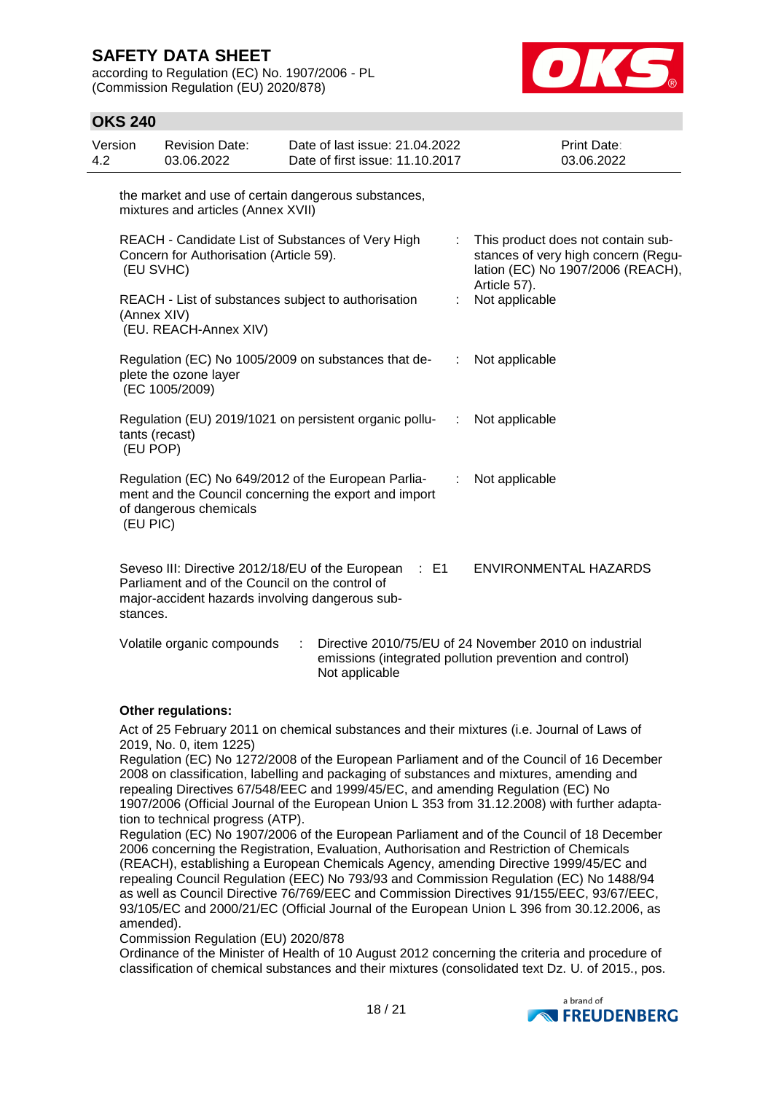according to Regulation (EC) No. 1907/2006 - PL (Commission Regulation (EU) 2020/878)



## **OKS 240**

| Version<br>4.2 | <b>Revision Date:</b><br>03.06.2022                                                                            | Date of last issue: 21.04.2022<br>Date of first issue: 11.10.2017                                            |                | Print Date:<br>03.06.2022                                                                                         |
|----------------|----------------------------------------------------------------------------------------------------------------|--------------------------------------------------------------------------------------------------------------|----------------|-------------------------------------------------------------------------------------------------------------------|
|                | mixtures and articles (Annex XVII)                                                                             | the market and use of certain dangerous substances,                                                          |                |                                                                                                                   |
|                | Concern for Authorisation (Article 59).<br>(EU SVHC)                                                           | REACH - Candidate List of Substances of Very High                                                            |                | This product does not contain sub-<br>stances of very high concern (Regu-<br>lation (EC) No 1907/2006 (REACH),    |
|                | (Annex XIV)<br>(EU. REACH-Annex XIV)                                                                           | REACH - List of substances subject to authorisation                                                          |                | Article 57).<br>Not applicable                                                                                    |
|                | plete the ozone layer<br>(EC 1005/2009)                                                                        | Regulation (EC) No 1005/2009 on substances that de-                                                          |                | : Not applicable                                                                                                  |
|                | tants (recast)<br>(EU POP)                                                                                     | Regulation (EU) 2019/1021 on persistent organic pollu-                                                       | $\mathbb{R}^n$ | Not applicable                                                                                                    |
|                | of dangerous chemicals<br>(EU PIC)                                                                             | Regulation (EC) No 649/2012 of the European Parlia-<br>ment and the Council concerning the export and import | t.             | Not applicable                                                                                                    |
|                | Parliament and of the Council on the control of<br>major-accident hazards involving dangerous sub-<br>stances. | Seveso III: Directive 2012/18/EU of the European : E1                                                        |                | ENVIRONMENTAL HAZARDS                                                                                             |
|                | Volatile organic compounds                                                                                     | Not applicable                                                                                               |                | Directive 2010/75/EU of 24 November 2010 on industrial<br>emissions (integrated pollution prevention and control) |

### **Other regulations:**

Act of 25 February 2011 on chemical substances and their mixtures (i.e. Journal of Laws of 2019, No. 0, item 1225)

Regulation (EC) No 1272/2008 of the European Parliament and of the Council of 16 December 2008 on classification, labelling and packaging of substances and mixtures, amending and repealing Directives 67/548/EEC and 1999/45/EC, and amending Regulation (EC) No 1907/2006 (Official Journal of the European Union L 353 from 31.12.2008) with further adaptation to technical progress (ATP).

Regulation (EC) No 1907/2006 of the European Parliament and of the Council of 18 December 2006 concerning the Registration, Evaluation, Authorisation and Restriction of Chemicals (REACH), establishing a European Chemicals Agency, amending Directive 1999/45/EC and repealing Council Regulation (EEC) No 793/93 and Commission Regulation (EC) No 1488/94 as well as Council Directive 76/769/EEC and Commission Directives 91/155/EEC, 93/67/EEC, 93/105/EC and 2000/21/EC (Official Journal of the European Union L 396 from 30.12.2006, as amended).

Commission Regulation (EU) 2020/878

Ordinance of the Minister of Health of 10 August 2012 concerning the criteria and procedure of classification of chemical substances and their mixtures (consolidated text Dz. U. of 2015., pos.

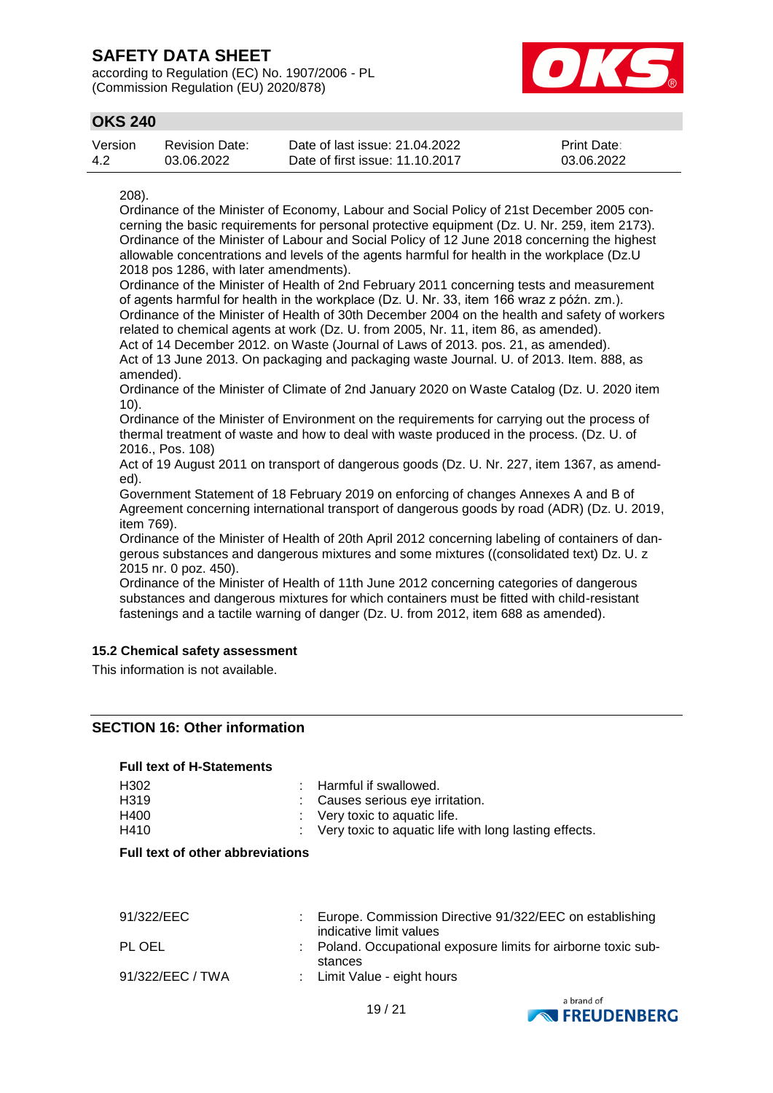according to Regulation (EC) No. 1907/2006 - PL (Commission Regulation (EU) 2020/878)



## **OKS 240**

| Version | <b>Revision Date:</b> | Date of last issue: 21.04.2022  | <b>Print Date:</b> |
|---------|-----------------------|---------------------------------|--------------------|
| -4.2    | 03.06.2022            | Date of first issue: 11.10.2017 | 03.06.2022         |

#### 208).

Ordinance of the Minister of Economy, Labour and Social Policy of 21st December 2005 concerning the basic requirements for personal protective equipment (Dz. U. Nr. 259, item 2173). Ordinance of the Minister of Labour and Social Policy of 12 June 2018 concerning the highest allowable concentrations and levels of the agents harmful for health in the workplace (Dz.U 2018 pos 1286, with later amendments).

Ordinance of the Minister of Health of 2nd February 2011 concerning tests and measurement of agents harmful for health in the workplace (Dz. U. Nr. 33, item 166 wraz z późn. zm.). Ordinance of the Minister of Health of 30th December 2004 on the health and safety of workers related to chemical agents at work (Dz. U. from 2005, Nr. 11, item 86, as amended).

Act of 14 December 2012. on Waste (Journal of Laws of 2013. pos. 21, as amended). Act of 13 June 2013. On packaging and packaging waste Journal. U. of 2013. Item. 888, as amended).

Ordinance of the Minister of Climate of 2nd January 2020 on Waste Catalog (Dz. U. 2020 item 10).

Ordinance of the Minister of Environment on the requirements for carrying out the process of thermal treatment of waste and how to deal with waste produced in the process. (Dz. U. of 2016., Pos. 108)

Act of 19 August 2011 on transport of dangerous goods (Dz. U. Nr. 227, item 1367, as amended).

Government Statement of 18 February 2019 on enforcing of changes Annexes A and B of Agreement concerning international transport of dangerous goods by road (ADR) (Dz. U. 2019, item 769).

Ordinance of the Minister of Health of 20th April 2012 concerning labeling of containers of dangerous substances and dangerous mixtures and some mixtures ((consolidated text) Dz. U. z 2015 nr. 0 poz. 450).

Ordinance of the Minister of Health of 11th June 2012 concerning categories of dangerous substances and dangerous mixtures for which containers must be fitted with child-resistant fastenings and a tactile warning of danger (Dz. U. from 2012, item 688 as amended).

### **15.2 Chemical safety assessment**

This information is not available.

### **SECTION 16: Other information**

### **Full text of H-Statements**

| H <sub>302</sub><br>H319 | $\therefore$ Harmful if swallowed.<br>: Causes serious eye irritation. |
|--------------------------|------------------------------------------------------------------------|
| H400                     | $\therefore$ Very toxic to aquatic life.                               |
| H410                     | : Very toxic to aquatic life with long lasting effects.                |

#### **Full text of other abbreviations**

| 91/322/EEC       | Europe. Commission Directive 91/322/EEC on establishing<br>indicative limit values |
|------------------|------------------------------------------------------------------------------------|
| PL OEL           | : Poland. Occupational exposure limits for airborne toxic sub-<br>stances          |
| 91/322/EEC / TWA | : Limit Value - eight hours                                                        |

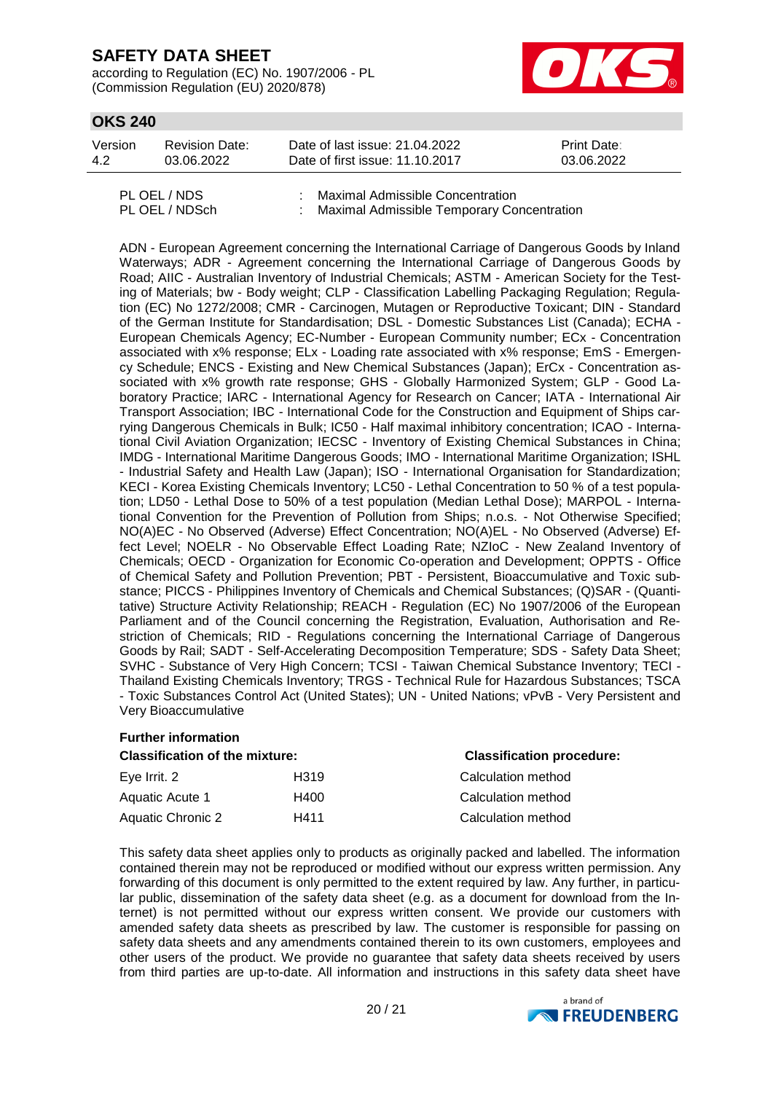according to Regulation (EC) No. 1907/2006 - PL (Commission Regulation (EU) 2020/878)



## **OKS 240**

| Version | <b>Revision Date:</b> | Date of last issue: 21.04.2022  | <b>Print Date:</b> |
|---------|-----------------------|---------------------------------|--------------------|
| 4.2     | 03.06.2022            | Date of first issue: 11.10.2017 | 03.06.2022         |
|         |                       |                                 |                    |

| PL OEL / NDS   | : Maximal Admissible Concentration           |
|----------------|----------------------------------------------|
| PL OEL / NDSch | : Maximal Admissible Temporary Concentration |

ADN - European Agreement concerning the International Carriage of Dangerous Goods by Inland Waterways; ADR - Agreement concerning the International Carriage of Dangerous Goods by Road; AIIC - Australian Inventory of Industrial Chemicals; ASTM - American Society for the Testing of Materials; bw - Body weight; CLP - Classification Labelling Packaging Regulation; Regulation (EC) No 1272/2008; CMR - Carcinogen, Mutagen or Reproductive Toxicant; DIN - Standard of the German Institute for Standardisation; DSL - Domestic Substances List (Canada); ECHA - European Chemicals Agency; EC-Number - European Community number; ECx - Concentration associated with x% response; ELx - Loading rate associated with x% response; EmS - Emergency Schedule; ENCS - Existing and New Chemical Substances (Japan); ErCx - Concentration associated with x% growth rate response; GHS - Globally Harmonized System; GLP - Good Laboratory Practice; IARC - International Agency for Research on Cancer; IATA - International Air Transport Association; IBC - International Code for the Construction and Equipment of Ships carrying Dangerous Chemicals in Bulk; IC50 - Half maximal inhibitory concentration; ICAO - International Civil Aviation Organization; IECSC - Inventory of Existing Chemical Substances in China; IMDG - International Maritime Dangerous Goods; IMO - International Maritime Organization; ISHL - Industrial Safety and Health Law (Japan); ISO - International Organisation for Standardization; KECI - Korea Existing Chemicals Inventory; LC50 - Lethal Concentration to 50 % of a test population; LD50 - Lethal Dose to 50% of a test population (Median Lethal Dose); MARPOL - International Convention for the Prevention of Pollution from Ships; n.o.s. - Not Otherwise Specified; NO(A)EC - No Observed (Adverse) Effect Concentration; NO(A)EL - No Observed (Adverse) Effect Level; NOELR - No Observable Effect Loading Rate; NZIoC - New Zealand Inventory of Chemicals; OECD - Organization for Economic Co-operation and Development; OPPTS - Office of Chemical Safety and Pollution Prevention; PBT - Persistent, Bioaccumulative and Toxic substance; PICCS - Philippines Inventory of Chemicals and Chemical Substances; (Q)SAR - (Quantitative) Structure Activity Relationship; REACH - Regulation (EC) No 1907/2006 of the European Parliament and of the Council concerning the Registration, Evaluation, Authorisation and Restriction of Chemicals; RID - Regulations concerning the International Carriage of Dangerous Goods by Rail; SADT - Self-Accelerating Decomposition Temperature; SDS - Safety Data Sheet; SVHC - Substance of Very High Concern; TCSI - Taiwan Chemical Substance Inventory; TECI - Thailand Existing Chemicals Inventory; TRGS - Technical Rule for Hazardous Substances; TSCA - Toxic Substances Control Act (United States); UN - United Nations; vPvB - Very Persistent and Very Bioaccumulative

#### **Further information**

| <b>Classification of the mixture:</b> |      | <b>Classification procedure:</b> |  |
|---------------------------------------|------|----------------------------------|--|
| Eye Irrit. 2                          | H319 | Calculation method               |  |
| Aquatic Acute 1                       | H400 | Calculation method               |  |
| Aquatic Chronic 2                     | H411 | Calculation method               |  |

This safety data sheet applies only to products as originally packed and labelled. The information contained therein may not be reproduced or modified without our express written permission. Any forwarding of this document is only permitted to the extent required by law. Any further, in particular public, dissemination of the safety data sheet (e.g. as a document for download from the Internet) is not permitted without our express written consent. We provide our customers with amended safety data sheets as prescribed by law. The customer is responsible for passing on safety data sheets and any amendments contained therein to its own customers, employees and other users of the product. We provide no guarantee that safety data sheets received by users from third parties are up-to-date. All information and instructions in this safety data sheet have